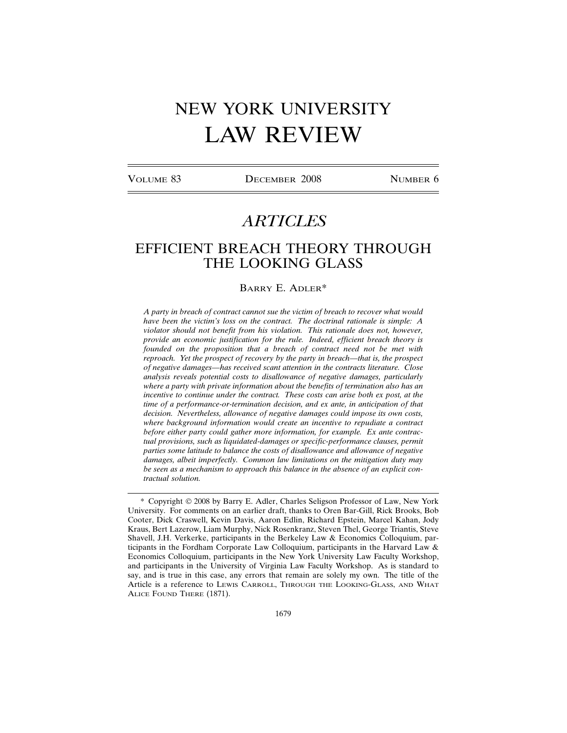# NEW YORK UNIVERSITY LAW REVIEW

VOLUME 83 DECEMBER 2008 NUMBER 6

# *ARTICLES*

# EFFICIENT BREACH THEORY THROUGH THE LOOKING GLASS

# BARRY E. ADLER\*

*A party in breach of contract cannot sue the victim of breach to recover what would have been the victim's loss on the contract. The doctrinal rationale is simple: A violator should not benefit from his violation. This rationale does not, however, provide an economic justification for the rule. Indeed, efficient breach theory is founded on the proposition that a breach of contract need not be met with reproach. Yet the prospect of recovery by the party in breach—that is, the prospect of negative damages—has received scant attention in the contracts literature. Close analysis reveals potential costs to disallowance of negative damages, particularly where a party with private information about the benefits of termination also has an incentive to continue under the contract. These costs can arise both ex post, at the time of a performance-or-termination decision, and ex ante, in anticipation of that decision. Nevertheless, allowance of negative damages could impose its own costs, where background information would create an incentive to repudiate a contract before either party could gather more information, for example. Ex ante contractual provisions, such as liquidated-damages or specific-performance clauses, permit parties some latitude to balance the costs of disallowance and allowance of negative damages, albeit imperfectly. Common law limitations on the mitigation duty may be seen as a mechanism to approach this balance in the absence of an explicit contractual solution.*

<sup>\*</sup> Copyright © 2008 by Barry E. Adler, Charles Seligson Professor of Law, New York University. For comments on an earlier draft, thanks to Oren Bar-Gill, Rick Brooks, Bob Cooter, Dick Craswell, Kevin Davis, Aaron Edlin, Richard Epstein, Marcel Kahan, Jody Kraus, Bert Lazerow, Liam Murphy, Nick Rosenkranz, Steven Thel, George Triantis, Steve Shavell, J.H. Verkerke, participants in the Berkeley Law & Economics Colloquium, participants in the Fordham Corporate Law Colloquium, participants in the Harvard Law & Economics Colloquium, participants in the New York University Law Faculty Workshop, and participants in the University of Virginia Law Faculty Workshop. As is standard to say, and is true in this case, any errors that remain are solely my own. The title of the Article is a reference to LEWIS CARROLL, THROUGH THE LOOKING-GLASS, AND WHAT ALICE FOUND THERE (1871).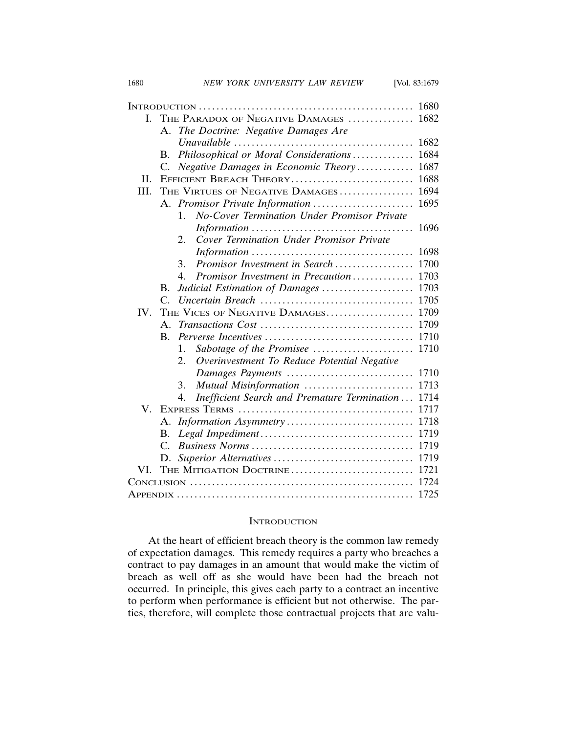| L.   | THE PARADOX OF NEGATIVE DAMAGES  1682 |                                                               |      |
|------|---------------------------------------|---------------------------------------------------------------|------|
|      | A.                                    | The Doctrine: Negative Damages Are                            |      |
|      |                                       |                                                               | 1682 |
|      | B.                                    | Philosophical or Moral Considerations                         | 1684 |
|      | C.                                    | Negative Damages in Economic Theory                           | 1687 |
| H.   |                                       | EFFICIENT BREACH THEORY                                       | 1688 |
| III. |                                       | THE VIRTUES OF NEGATIVE DAMAGES                               | 1694 |
|      |                                       | A. Promisor Private Information                               | 1695 |
|      |                                       | <b>No-Cover Termination Under Promisor Private</b><br>$1_{-}$ |      |
|      |                                       |                                                               | 1696 |
|      |                                       | Cover Termination Under Promisor Private<br>2.                |      |
|      |                                       |                                                               | 1698 |
|      |                                       | Promisor Investment in Search<br>3.                           | 1700 |
|      |                                       | Promisor Investment in Precaution<br>4.                       | 1703 |
|      | В.                                    | Judicial Estimation of Damages                                | 1703 |
|      | $C_{\cdot}$                           |                                                               | 1705 |
| IV.  |                                       | THE VICES OF NEGATIVE DAMAGES                                 | 1709 |
|      | $\mathsf{A}$ .                        |                                                               | 1709 |
|      | $\mathbf{B}$ .                        |                                                               | 1710 |
|      |                                       | Sabotage of the Promisee<br>$\mathbf{1}$ .                    | 1710 |
|      |                                       | Overinvestment To Reduce Potential Negative<br>2.             |      |
|      |                                       | Damages Payments                                              | 1710 |
|      |                                       | Mutual Misinformation<br>3.                                   | 1713 |
|      |                                       | Inefficient Search and Premature Termination<br>4.            | 1714 |
| V.   |                                       |                                                               | 1717 |
|      | A.                                    |                                                               | 1718 |
|      | В.                                    |                                                               | 1719 |
|      |                                       |                                                               | 1719 |
|      | D.                                    |                                                               | 1719 |
| VI.  |                                       | THE MITIGATION DOCTRINE                                       | 1721 |
|      |                                       |                                                               | 1724 |
|      |                                       |                                                               | 1725 |

# **INTRODUCTION**

At the heart of efficient breach theory is the common law remedy of expectation damages. This remedy requires a party who breaches a contract to pay damages in an amount that would make the victim of breach as well off as she would have been had the breach not occurred. In principle, this gives each party to a contract an incentive to perform when performance is efficient but not otherwise. The parties, therefore, will complete those contractual projects that are valu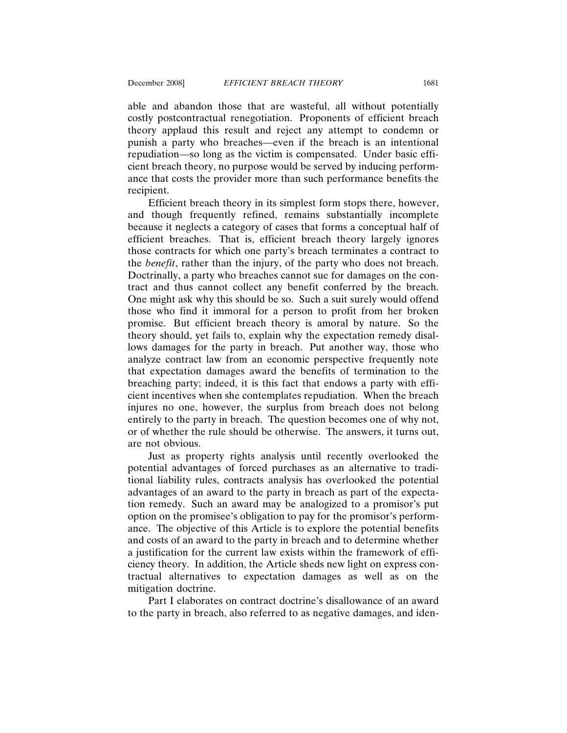able and abandon those that are wasteful, all without potentially costly postcontractual renegotiation. Proponents of efficient breach theory applaud this result and reject any attempt to condemn or punish a party who breaches—even if the breach is an intentional repudiation—so long as the victim is compensated. Under basic efficient breach theory, no purpose would be served by inducing performance that costs the provider more than such performance benefits the recipient.

Efficient breach theory in its simplest form stops there, however, and though frequently refined, remains substantially incomplete because it neglects a category of cases that forms a conceptual half of efficient breaches. That is, efficient breach theory largely ignores those contracts for which one party's breach terminates a contract to the *benefit*, rather than the injury, of the party who does not breach. Doctrinally, a party who breaches cannot sue for damages on the contract and thus cannot collect any benefit conferred by the breach. One might ask why this should be so. Such a suit surely would offend those who find it immoral for a person to profit from her broken promise. But efficient breach theory is amoral by nature. So the theory should, yet fails to, explain why the expectation remedy disallows damages for the party in breach. Put another way, those who analyze contract law from an economic perspective frequently note that expectation damages award the benefits of termination to the breaching party; indeed, it is this fact that endows a party with efficient incentives when she contemplates repudiation. When the breach injures no one, however, the surplus from breach does not belong entirely to the party in breach. The question becomes one of why not, or of whether the rule should be otherwise. The answers, it turns out, are not obvious.

Just as property rights analysis until recently overlooked the potential advantages of forced purchases as an alternative to traditional liability rules, contracts analysis has overlooked the potential advantages of an award to the party in breach as part of the expectation remedy. Such an award may be analogized to a promisor's put option on the promisee's obligation to pay for the promisor's performance. The objective of this Article is to explore the potential benefits and costs of an award to the party in breach and to determine whether a justification for the current law exists within the framework of efficiency theory. In addition, the Article sheds new light on express contractual alternatives to expectation damages as well as on the mitigation doctrine.

Part I elaborates on contract doctrine's disallowance of an award to the party in breach, also referred to as negative damages, and iden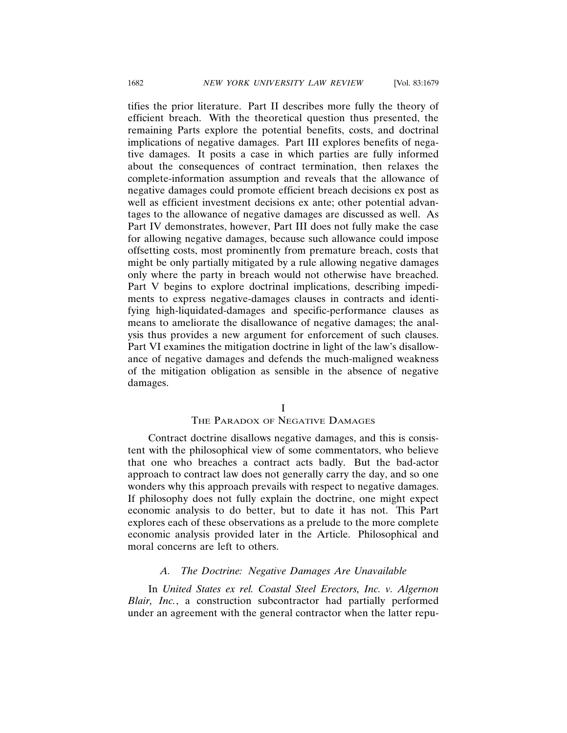tifies the prior literature. Part II describes more fully the theory of efficient breach. With the theoretical question thus presented, the remaining Parts explore the potential benefits, costs, and doctrinal implications of negative damages. Part III explores benefits of negative damages. It posits a case in which parties are fully informed about the consequences of contract termination, then relaxes the complete-information assumption and reveals that the allowance of negative damages could promote efficient breach decisions ex post as well as efficient investment decisions ex ante; other potential advantages to the allowance of negative damages are discussed as well. As Part IV demonstrates, however, Part III does not fully make the case for allowing negative damages, because such allowance could impose offsetting costs, most prominently from premature breach, costs that might be only partially mitigated by a rule allowing negative damages only where the party in breach would not otherwise have breached. Part V begins to explore doctrinal implications, describing impediments to express negative-damages clauses in contracts and identifying high-liquidated-damages and specific-performance clauses as means to ameliorate the disallowance of negative damages; the analysis thus provides a new argument for enforcement of such clauses. Part VI examines the mitigation doctrine in light of the law's disallowance of negative damages and defends the much-maligned weakness of the mitigation obligation as sensible in the absence of negative damages.

I

# THE PARADOX OF NEGATIVE DAMAGES

Contract doctrine disallows negative damages, and this is consistent with the philosophical view of some commentators, who believe that one who breaches a contract acts badly. But the bad-actor approach to contract law does not generally carry the day, and so one wonders why this approach prevails with respect to negative damages. If philosophy does not fully explain the doctrine, one might expect economic analysis to do better, but to date it has not. This Part explores each of these observations as a prelude to the more complete economic analysis provided later in the Article. Philosophical and moral concerns are left to others.

# *A. The Doctrine: Negative Damages Are Unavailable*

In *United States ex rel. Coastal Steel Erectors, Inc. v. Algernon Blair, Inc.*, a construction subcontractor had partially performed under an agreement with the general contractor when the latter repu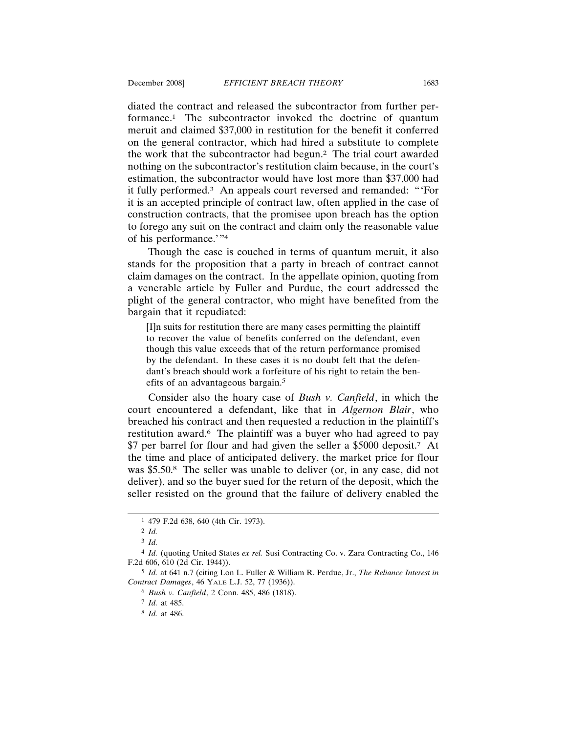diated the contract and released the subcontractor from further performance.1 The subcontractor invoked the doctrine of quantum meruit and claimed \$37,000 in restitution for the benefit it conferred on the general contractor, which had hired a substitute to complete the work that the subcontractor had begun.2 The trial court awarded nothing on the subcontractor's restitution claim because, in the court's estimation, the subcontractor would have lost more than \$37,000 had it fully performed.3 An appeals court reversed and remanded: "'For it is an accepted principle of contract law, often applied in the case of construction contracts, that the promisee upon breach has the option to forego any suit on the contract and claim only the reasonable value of his performance.'"4

Though the case is couched in terms of quantum meruit, it also stands for the proposition that a party in breach of contract cannot claim damages on the contract. In the appellate opinion, quoting from a venerable article by Fuller and Purdue, the court addressed the plight of the general contractor, who might have benefited from the bargain that it repudiated:

[I]n suits for restitution there are many cases permitting the plaintiff to recover the value of benefits conferred on the defendant, even though this value exceeds that of the return performance promised by the defendant. In these cases it is no doubt felt that the defendant's breach should work a forfeiture of his right to retain the benefits of an advantageous bargain.5

Consider also the hoary case of *Bush v. Canfield*, in which the court encountered a defendant, like that in *Algernon Blair*, who breached his contract and then requested a reduction in the plaintiff's restitution award.<sup>6</sup> The plaintiff was a buyer who had agreed to pay \$7 per barrel for flour and had given the seller a \$5000 deposit.7 At the time and place of anticipated delivery, the market price for flour was \$5.50.<sup>8</sup> The seller was unable to deliver (or, in any case, did not deliver), and so the buyer sued for the return of the deposit, which the seller resisted on the ground that the failure of delivery enabled the

<sup>1</sup> 479 F.2d 638, 640 (4th Cir. 1973).

<sup>2</sup> *Id.*

<sup>3</sup> *Id.*

<sup>4</sup> *Id.* (quoting United States *ex rel.* Susi Contracting Co. v. Zara Contracting Co., 146 F.2d 606, 610 (2d Cir. 1944)).

<sup>5</sup> *Id.* at 641 n.7 (citing Lon L. Fuller & William R. Perdue, Jr., *The Reliance Interest in Contract Damages*, 46 YALE L.J. 52, 77 (1936)).

<sup>6</sup> *Bush v. Canfield*, 2 Conn. 485, 486 (1818).

<sup>7</sup> *Id.* at 485.

<sup>8</sup> *Id.* at 486.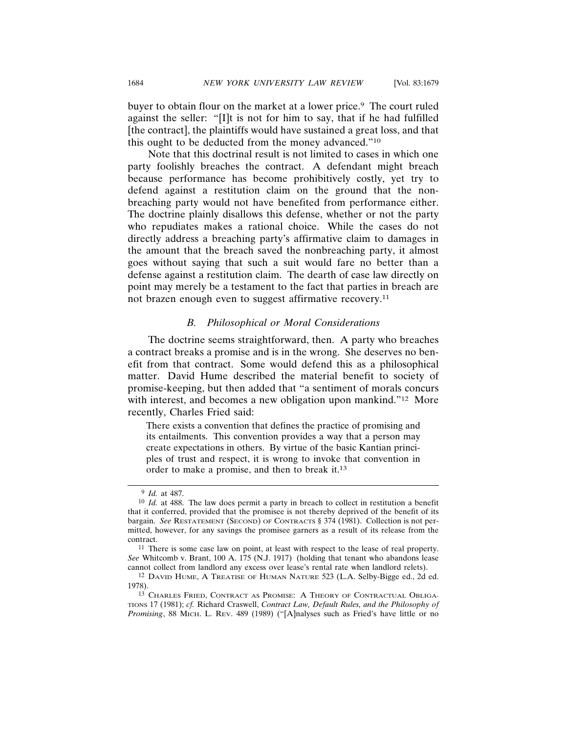buyer to obtain flour on the market at a lower price.<sup>9</sup> The court ruled against the seller: "[I]t is not for him to say, that if he had fulfilled [the contract], the plaintiffs would have sustained a great loss, and that this ought to be deducted from the money advanced."10

Note that this doctrinal result is not limited to cases in which one party foolishly breaches the contract. A defendant might breach because performance has become prohibitively costly, yet try to defend against a restitution claim on the ground that the nonbreaching party would not have benefited from performance either. The doctrine plainly disallows this defense, whether or not the party who repudiates makes a rational choice. While the cases do not directly address a breaching party's affirmative claim to damages in the amount that the breach saved the nonbreaching party, it almost goes without saying that such a suit would fare no better than a defense against a restitution claim. The dearth of case law directly on point may merely be a testament to the fact that parties in breach are not brazen enough even to suggest affirmative recovery.11

### *B. Philosophical or Moral Considerations*

The doctrine seems straightforward, then. A party who breaches a contract breaks a promise and is in the wrong. She deserves no benefit from that contract. Some would defend this as a philosophical matter. David Hume described the material benefit to society of promise-keeping, but then added that "a sentiment of morals concurs with interest, and becomes a new obligation upon mankind."<sup>12</sup> More recently, Charles Fried said:

There exists a convention that defines the practice of promising and its entailments. This convention provides a way that a person may create expectations in others. By virtue of the basic Kantian principles of trust and respect, it is wrong to invoke that convention in order to make a promise, and then to break it.13

11 There is some case law on point, at least with respect to the lease of real property. *See* Whitcomb v. Brant, 100 A. 175 (N.J. 1917) (holding that tenant who abandons lease cannot collect from landlord any excess over lease's rental rate when landlord relets).

<sup>13</sup> CHARLES FRIED, CONTRACT AS PROMISE: A THEORY OF CONTRACTUAL OBLIGA-TIONS 17 (1981); *cf.* Richard Craswell, *Contract Law, Default Rules, and the Philosophy of Promising*, 88 MICH. L. REV. 489 (1989) ("[A]nalyses such as Fried's have little or no

<sup>9</sup> *Id.* at 487.

<sup>10</sup> *Id.* at 488. The law does permit a party in breach to collect in restitution a benefit that it conferred, provided that the promisee is not thereby deprived of the benefit of its bargain. *See* RESTATEMENT (SECOND) OF CONTRACTS § 374 (1981). Collection is not permitted, however, for any savings the promisee garners as a result of its release from the contract.

<sup>12</sup> DAVID HUME, A TREATISE OF HUMAN NATURE 523 (L.A. Selby-Bigge ed., 2d ed. 1978).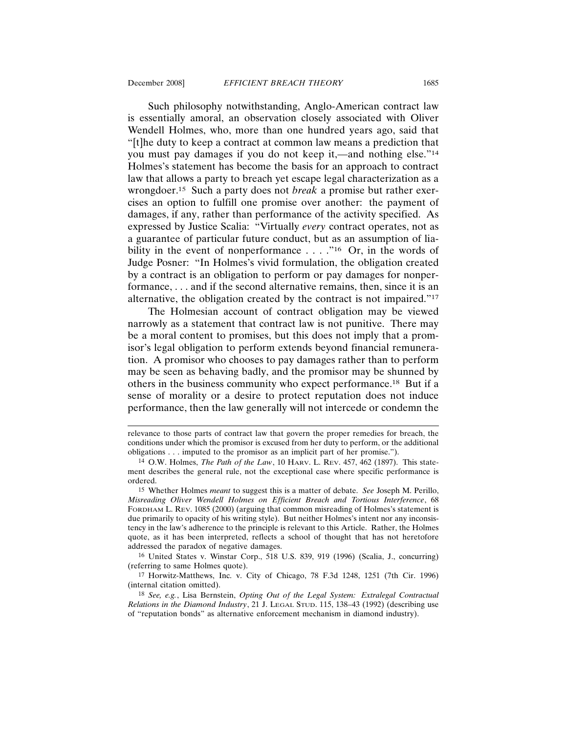Such philosophy notwithstanding, Anglo-American contract law is essentially amoral, an observation closely associated with Oliver Wendell Holmes, who, more than one hundred years ago, said that "[t]he duty to keep a contract at common law means a prediction that you must pay damages if you do not keep it,—and nothing else."14 Holmes's statement has become the basis for an approach to contract law that allows a party to breach yet escape legal characterization as a wrongdoer.15 Such a party does not *break* a promise but rather exercises an option to fulfill one promise over another: the payment of damages, if any, rather than performance of the activity specified. As expressed by Justice Scalia: "Virtually *every* contract operates, not as a guarantee of particular future conduct, but as an assumption of liability in the event of nonperformance ...."<sup>16</sup> Or, in the words of Judge Posner: "In Holmes's vivid formulation, the obligation created by a contract is an obligation to perform or pay damages for nonperformance, . . . and if the second alternative remains, then, since it is an alternative, the obligation created by the contract is not impaired."17

The Holmesian account of contract obligation may be viewed narrowly as a statement that contract law is not punitive. There may be a moral content to promises, but this does not imply that a promisor's legal obligation to perform extends beyond financial remuneration. A promisor who chooses to pay damages rather than to perform may be seen as behaving badly, and the promisor may be shunned by others in the business community who expect performance.18 But if a sense of morality or a desire to protect reputation does not induce performance, then the law generally will not intercede or condemn the

16 United States v. Winstar Corp., 518 U.S. 839, 919 (1996) (Scalia, J., concurring) (referring to same Holmes quote).

17 Horwitz-Matthews, Inc. v. City of Chicago, 78 F.3d 1248, 1251 (7th Cir. 1996) (internal citation omitted).

18 *See, e.g.*, Lisa Bernstein, *Opting Out of the Legal System: Extralegal Contractual Relations in the Diamond Industry*, 21 J. LEGAL STUD. 115, 138–43 (1992) (describing use of "reputation bonds" as alternative enforcement mechanism in diamond industry).

relevance to those parts of contract law that govern the proper remedies for breach, the conditions under which the promisor is excused from her duty to perform, or the additional obligations . . . imputed to the promisor as an implicit part of her promise.").

<sup>14</sup> O.W. Holmes, *The Path of the Law*, 10 HARV. L. REV. 457, 462 (1897). This statement describes the general rule, not the exceptional case where specific performance is ordered.

<sup>15</sup> Whether Holmes *meant* to suggest this is a matter of debate. *See* Joseph M. Perillo, *Misreading Oliver Wendell Holmes on Efficient Breach and Tortious Interference*, 68 FORDHAM L. REV. 1085 (2000) (arguing that common misreading of Holmes's statement is due primarily to opacity of his writing style). But neither Holmes's intent nor any inconsistency in the law's adherence to the principle is relevant to this Article. Rather, the Holmes quote, as it has been interpreted, reflects a school of thought that has not heretofore addressed the paradox of negative damages.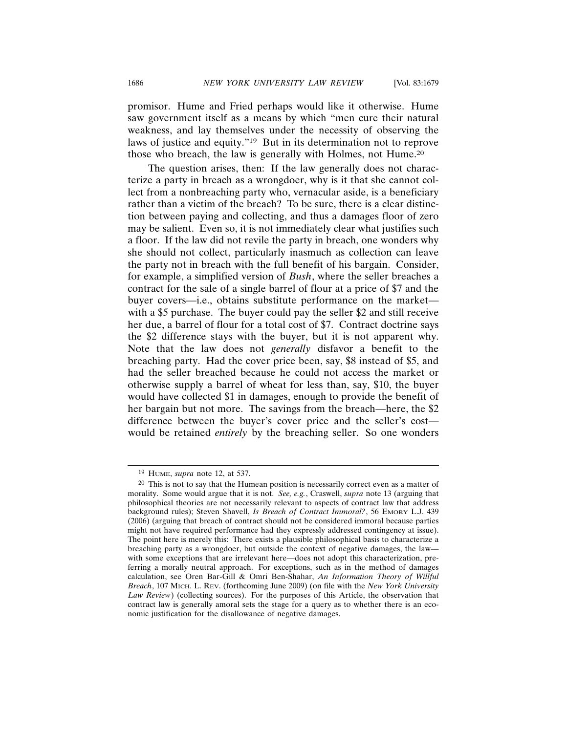promisor. Hume and Fried perhaps would like it otherwise. Hume saw government itself as a means by which "men cure their natural weakness, and lay themselves under the necessity of observing the laws of justice and equity."19 But in its determination not to reprove those who breach, the law is generally with Holmes, not Hume.20

The question arises, then: If the law generally does not characterize a party in breach as a wrongdoer, why is it that she cannot collect from a nonbreaching party who, vernacular aside, is a beneficiary rather than a victim of the breach? To be sure, there is a clear distinction between paying and collecting, and thus a damages floor of zero may be salient. Even so, it is not immediately clear what justifies such a floor. If the law did not revile the party in breach, one wonders why she should not collect, particularly inasmuch as collection can leave the party not in breach with the full benefit of his bargain. Consider, for example, a simplified version of *Bush*, where the seller breaches a contract for the sale of a single barrel of flour at a price of \$7 and the buyer covers—i.e., obtains substitute performance on the market with a \$5 purchase. The buyer could pay the seller \$2 and still receive her due, a barrel of flour for a total cost of \$7. Contract doctrine says the \$2 difference stays with the buyer, but it is not apparent why. Note that the law does not *generally* disfavor a benefit to the breaching party. Had the cover price been, say, \$8 instead of \$5, and had the seller breached because he could not access the market or otherwise supply a barrel of wheat for less than, say, \$10, the buyer would have collected \$1 in damages, enough to provide the benefit of her bargain but not more. The savings from the breach—here, the \$2 difference between the buyer's cover price and the seller's cost would be retained *entirely* by the breaching seller. So one wonders

<sup>19</sup> HUME, *supra* note 12, at 537.

 $20$  This is not to say that the Humean position is necessarily correct even as a matter of morality. Some would argue that it is not. *See, e.g.*, Craswell, *supra* note 13 (arguing that philosophical theories are not necessarily relevant to aspects of contract law that address background rules); Steven Shavell, *Is Breach of Contract Immoral?*, 56 EMORY L.J. 439 (2006) (arguing that breach of contract should not be considered immoral because parties might not have required performance had they expressly addressed contingency at issue). The point here is merely this: There exists a plausible philosophical basis to characterize a breaching party as a wrongdoer, but outside the context of negative damages, the law with some exceptions that are irrelevant here—does not adopt this characterization, preferring a morally neutral approach. For exceptions, such as in the method of damages calculation, see Oren Bar-Gill & Omri Ben-Shahar, *An Information Theory of Willful Breach*, 107 MICH. L. REV. (forthcoming June 2009) (on file with the *New York University Law Review*) (collecting sources). For the purposes of this Article, the observation that contract law is generally amoral sets the stage for a query as to whether there is an economic justification for the disallowance of negative damages.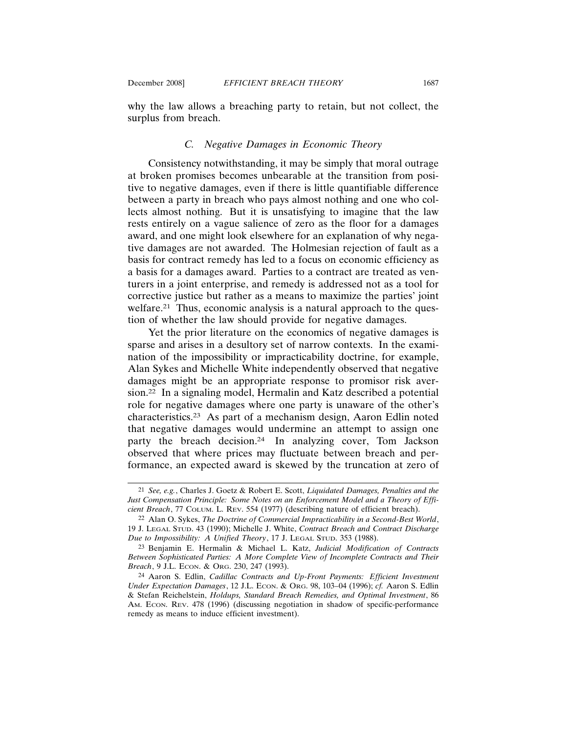why the law allows a breaching party to retain, but not collect, the surplus from breach.

### *C. Negative Damages in Economic Theory*

Consistency notwithstanding, it may be simply that moral outrage at broken promises becomes unbearable at the transition from positive to negative damages, even if there is little quantifiable difference between a party in breach who pays almost nothing and one who collects almost nothing. But it is unsatisfying to imagine that the law rests entirely on a vague salience of zero as the floor for a damages award, and one might look elsewhere for an explanation of why negative damages are not awarded. The Holmesian rejection of fault as a basis for contract remedy has led to a focus on economic efficiency as a basis for a damages award. Parties to a contract are treated as venturers in a joint enterprise, and remedy is addressed not as a tool for corrective justice but rather as a means to maximize the parties' joint welfare.<sup>21</sup> Thus, economic analysis is a natural approach to the question of whether the law should provide for negative damages.

Yet the prior literature on the economics of negative damages is sparse and arises in a desultory set of narrow contexts. In the examination of the impossibility or impracticability doctrine, for example, Alan Sykes and Michelle White independently observed that negative damages might be an appropriate response to promisor risk aversion.22 In a signaling model, Hermalin and Katz described a potential role for negative damages where one party is unaware of the other's characteristics.23 As part of a mechanism design, Aaron Edlin noted that negative damages would undermine an attempt to assign one party the breach decision.24 In analyzing cover, Tom Jackson observed that where prices may fluctuate between breach and performance, an expected award is skewed by the truncation at zero of

<sup>21</sup> *See, e.g.*, Charles J. Goetz & Robert E. Scott, *Liquidated Damages, Penalties and the Just Compensation Principle: Some Notes on an Enforcement Model and a Theory of Efficient Breach*, 77 COLUM. L. REV. 554 (1977) (describing nature of efficient breach).

<sup>22</sup> Alan O. Sykes, *The Doctrine of Commercial Impracticability in a Second-Best World*, 19 J. LEGAL STUD. 43 (1990); Michelle J. White, *Contract Breach and Contract Discharge Due to Impossibility: A Unified Theory*, 17 J. LEGAL STUD. 353 (1988).

<sup>23</sup> Benjamin E. Hermalin & Michael L. Katz, *Judicial Modification of Contracts Between Sophisticated Parties: A More Complete View of Incomplete Contracts and Their Breach*, 9 J.L. ECON. & ORG. 230, 247 (1993).

<sup>24</sup> Aaron S. Edlin, *Cadillac Contracts and Up-Front Payments: Efficient Investment Under Expectation Damages*, 12 J.L. ECON. & ORG. 98, 103–04 (1996); *cf.* Aaron S. Edlin & Stefan Reichelstein, *Holdups, Standard Breach Remedies, and Optimal Investment*, 86 AM. ECON. REV. 478 (1996) (discussing negotiation in shadow of specific-performance remedy as means to induce efficient investment).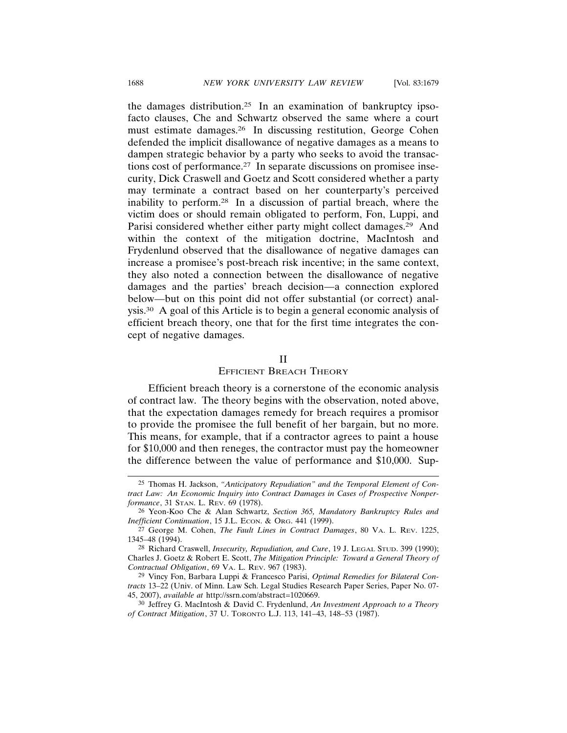the damages distribution.25 In an examination of bankruptcy ipsofacto clauses, Che and Schwartz observed the same where a court must estimate damages.26 In discussing restitution, George Cohen defended the implicit disallowance of negative damages as a means to dampen strategic behavior by a party who seeks to avoid the transactions cost of performance.27 In separate discussions on promisee insecurity, Dick Craswell and Goetz and Scott considered whether a party may terminate a contract based on her counterparty's perceived inability to perform.28 In a discussion of partial breach, where the victim does or should remain obligated to perform, Fon, Luppi, and Parisi considered whether either party might collect damages.<sup>29</sup> And within the context of the mitigation doctrine, MacIntosh and Frydenlund observed that the disallowance of negative damages can increase a promisee's post-breach risk incentive; in the same context, they also noted a connection between the disallowance of negative damages and the parties' breach decision—a connection explored below—but on this point did not offer substantial (or correct) analysis.30 A goal of this Article is to begin a general economic analysis of efficient breach theory, one that for the first time integrates the concept of negative damages.

#### II

#### EFFICIENT BREACH THEORY

Efficient breach theory is a cornerstone of the economic analysis of contract law. The theory begins with the observation, noted above, that the expectation damages remedy for breach requires a promisor to provide the promisee the full benefit of her bargain, but no more. This means, for example, that if a contractor agrees to paint a house for \$10,000 and then reneges, the contractor must pay the homeowner the difference between the value of performance and \$10,000. Sup-

<sup>25</sup> Thomas H. Jackson, *"Anticipatory Repudiation" and the Temporal Element of Contract Law: An Economic Inquiry into Contract Damages in Cases of Prospective Nonperformance*, 31 STAN. L. REV. 69 (1978).

<sup>26</sup> Yeon-Koo Che & Alan Schwartz, *Section 365, Mandatory Bankruptcy Rules and Inefficient Continuation*, 15 J.L. ECON. & ORG. 441 (1999).

<sup>27</sup> George M. Cohen, *The Fault Lines in Contract Damages*, 80 VA. L. REV. 1225, 1345–48 (1994).

<sup>28</sup> Richard Craswell, *Insecurity, Repudiation, and Cure*, 19 J. LEGAL STUD. 399 (1990); Charles J. Goetz & Robert E. Scott, *The Mitigation Principle: Toward a General Theory of Contractual Obligation*, 69 VA. L. REV. 967 (1983).

<sup>29</sup> Vincy Fon, Barbara Luppi & Francesco Parisi, *Optimal Remedies for Bilateral Contracts* 13–22 (Univ. of Minn. Law Sch. Legal Studies Research Paper Series, Paper No. 07- 45, 2007), *available at* http://ssrn.com/abstract=1020669.

<sup>30</sup> Jeffrey G. MacIntosh & David C. Frydenlund, *An Investment Approach to a Theory of Contract Mitigation*, 37 U. TORONTO L.J. 113, 141–43, 148–53 (1987).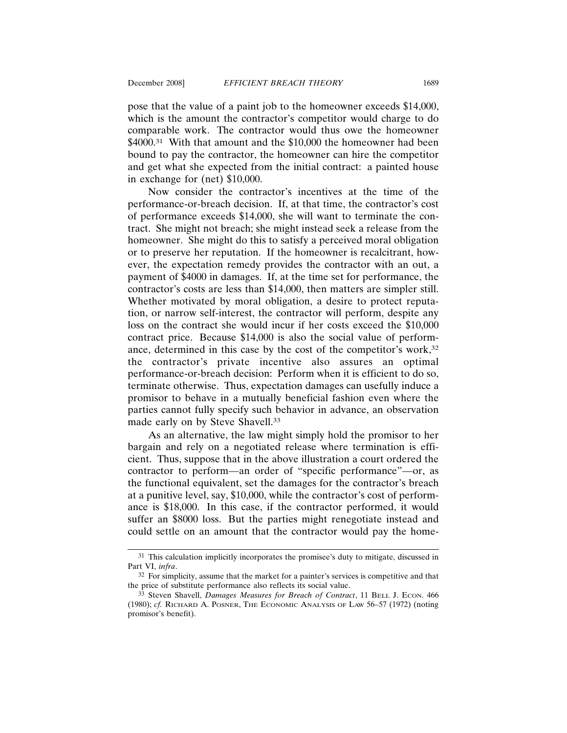pose that the value of a paint job to the homeowner exceeds \$14,000, which is the amount the contractor's competitor would charge to do comparable work. The contractor would thus owe the homeowner \$4000.<sup>31</sup> With that amount and the \$10,000 the homeowner had been bound to pay the contractor, the homeowner can hire the competitor and get what she expected from the initial contract: a painted house in exchange for (net) \$10,000.

Now consider the contractor's incentives at the time of the performance-or-breach decision. If, at that time, the contractor's cost of performance exceeds \$14,000, she will want to terminate the contract. She might not breach; she might instead seek a release from the homeowner. She might do this to satisfy a perceived moral obligation or to preserve her reputation. If the homeowner is recalcitrant, however, the expectation remedy provides the contractor with an out, a payment of \$4000 in damages. If, at the time set for performance, the contractor's costs are less than \$14,000, then matters are simpler still. Whether motivated by moral obligation, a desire to protect reputation, or narrow self-interest, the contractor will perform, despite any loss on the contract she would incur if her costs exceed the \$10,000 contract price. Because \$14,000 is also the social value of performance, determined in this case by the cost of the competitor's work,32 the contractor's private incentive also assures an optimal performance-or-breach decision: Perform when it is efficient to do so, terminate otherwise. Thus, expectation damages can usefully induce a promisor to behave in a mutually beneficial fashion even where the parties cannot fully specify such behavior in advance, an observation made early on by Steve Shavell.33

As an alternative, the law might simply hold the promisor to her bargain and rely on a negotiated release where termination is efficient. Thus, suppose that in the above illustration a court ordered the contractor to perform—an order of "specific performance"—or, as the functional equivalent, set the damages for the contractor's breach at a punitive level, say, \$10,000, while the contractor's cost of performance is \$18,000. In this case, if the contractor performed, it would suffer an \$8000 loss. But the parties might renegotiate instead and could settle on an amount that the contractor would pay the home-

<sup>&</sup>lt;sup>31</sup> This calculation implicitly incorporates the promisee's duty to mitigate, discussed in Part VI, *infra*.

<sup>32</sup> For simplicity, assume that the market for a painter's services is competitive and that the price of substitute performance also reflects its social value.

<sup>33</sup> Steven Shavell, *Damages Measures for Breach of Contract*, 11 BELL J. ECON. 466 (1980); *cf.* RICHARD A. POSNER, THE ECONOMIC ANALYSIS OF LAW 56–57 (1972) (noting promisor's benefit).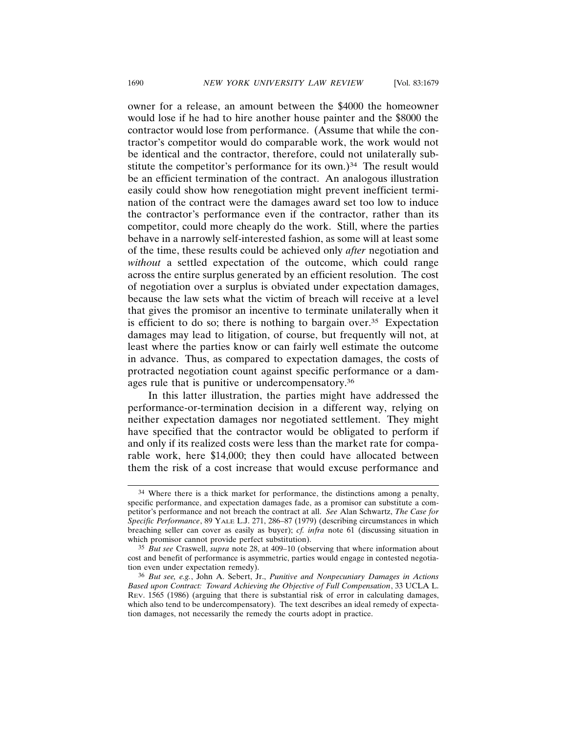owner for a release, an amount between the \$4000 the homeowner would lose if he had to hire another house painter and the \$8000 the contractor would lose from performance. (Assume that while the contractor's competitor would do comparable work, the work would not be identical and the contractor, therefore, could not unilaterally substitute the competitor's performance for its own.)<sup>34</sup> The result would be an efficient termination of the contract. An analogous illustration easily could show how renegotiation might prevent inefficient termination of the contract were the damages award set too low to induce the contractor's performance even if the contractor, rather than its competitor, could more cheaply do the work. Still, where the parties behave in a narrowly self-interested fashion, as some will at least some of the time, these results could be achieved only *after* negotiation and *without* a settled expectation of the outcome, which could range across the entire surplus generated by an efficient resolution. The cost of negotiation over a surplus is obviated under expectation damages, because the law sets what the victim of breach will receive at a level that gives the promisor an incentive to terminate unilaterally when it is efficient to do so; there is nothing to bargain over.<sup>35</sup> Expectation damages may lead to litigation, of course, but frequently will not, at least where the parties know or can fairly well estimate the outcome in advance. Thus, as compared to expectation damages, the costs of protracted negotiation count against specific performance or a damages rule that is punitive or undercompensatory.36

In this latter illustration, the parties might have addressed the performance-or-termination decision in a different way, relying on neither expectation damages nor negotiated settlement. They might have specified that the contractor would be obligated to perform if and only if its realized costs were less than the market rate for comparable work, here \$14,000; they then could have allocated between them the risk of a cost increase that would excuse performance and

<sup>34</sup> Where there is a thick market for performance, the distinctions among a penalty, specific performance, and expectation damages fade, as a promisor can substitute a competitor's performance and not breach the contract at all. *See* Alan Schwartz, *The Case for Specific Performance*, 89 YALE L.J. 271, 286–87 (1979) (describing circumstances in which breaching seller can cover as easily as buyer); *cf. infra* note 61 (discussing situation in which promisor cannot provide perfect substitution).

<sup>35</sup> *But see* Craswell, *supra* note 28, at 409–10 (observing that where information about cost and benefit of performance is asymmetric, parties would engage in contested negotiation even under expectation remedy).

<sup>36</sup> *But see, e.g.*, John A. Sebert, Jr., *Punitive and Nonpecuniary Damages in Actions Based upon Contract: Toward Achieving the Objective of Full Compensation*, 33 UCLA L. REV. 1565 (1986) (arguing that there is substantial risk of error in calculating damages, which also tend to be undercompensatory). The text describes an ideal remedy of expectation damages, not necessarily the remedy the courts adopt in practice.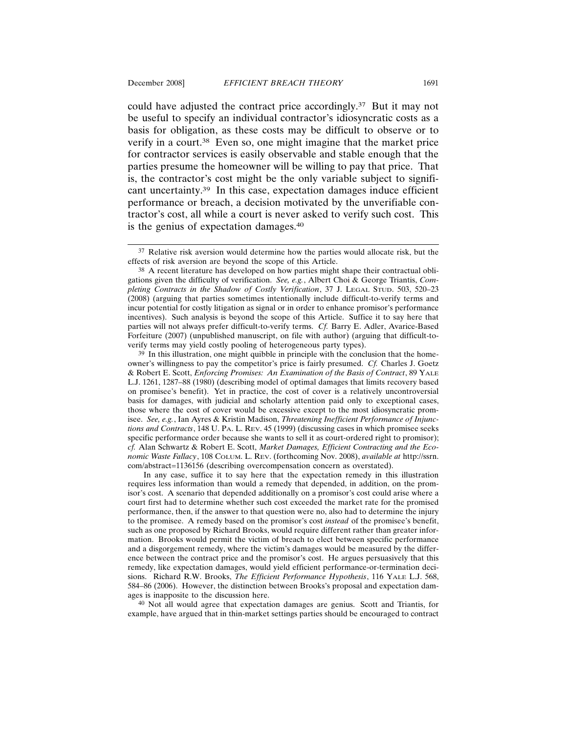could have adjusted the contract price accordingly.37 But it may not be useful to specify an individual contractor's idiosyncratic costs as a basis for obligation, as these costs may be difficult to observe or to verify in a court.<sup>38</sup> Even so, one might imagine that the market price for contractor services is easily observable and stable enough that the parties presume the homeowner will be willing to pay that price. That

is, the contractor's cost might be the only variable subject to significant uncertainty.39 In this case, expectation damages induce efficient performance or breach, a decision motivated by the unverifiable contractor's cost, all while a court is never asked to verify such cost. This is the genius of expectation damages.40

39 In this illustration, one might quibble in principle with the conclusion that the homeowner's willingness to pay the competitor's price is fairly presumed. *Cf.* Charles J. Goetz & Robert E. Scott, *Enforcing Promises: An Examination of the Basis of Contract*, 89 YALE L.J. 1261, 1287–88 (1980) (describing model of optimal damages that limits recovery based on promisee's benefit). Yet in practice, the cost of cover is a relatively uncontroversial basis for damages, with judicial and scholarly attention paid only to exceptional cases, those where the cost of cover would be excessive except to the most idiosyncratic promisee. *See, e.g.*, Ian Ayres & Kristin Madison, *Threatening Inefficient Performance of Injunctions and Contracts*, 148 U. PA. L. REV. 45 (1999) (discussing cases in which promisee seeks specific performance order because she wants to sell it as court-ordered right to promisor); *cf.* Alan Schwartz & Robert E. Scott, *Market Damages, Efficient Contracting and the Economic Waste Fallacy*, 108 COLUM. L. REV. (forthcoming Nov. 2008), *available at* http://ssrn. com/abstract=1136156 (describing overcompensation concern as overstated).

In any case, suffice it to say here that the expectation remedy in this illustration requires less information than would a remedy that depended, in addition, on the promisor's cost. A scenario that depended additionally on a promisor's cost could arise where a court first had to determine whether such cost exceeded the market rate for the promised performance, then, if the answer to that question were no, also had to determine the injury to the promisee. A remedy based on the promisor's cost *instead* of the promisee's benefit, such as one proposed by Richard Brooks, would require different rather than greater information. Brooks would permit the victim of breach to elect between specific performance and a disgorgement remedy, where the victim's damages would be measured by the difference between the contract price and the promisor's cost. He argues persuasively that this remedy, like expectation damages, would yield efficient performance-or-termination decisions. Richard R.W. Brooks, *The Efficient Performance Hypothesis*, 116 YALE L.J. 568, 584–86 (2006). However, the distinction between Brooks's proposal and expectation damages is inapposite to the discussion here.

40 Not all would agree that expectation damages are genius. Scott and Triantis, for example, have argued that in thin-market settings parties should be encouraged to contract

<sup>&</sup>lt;sup>37</sup> Relative risk aversion would determine how the parties would allocate risk, but the effects of risk aversion are beyond the scope of this Article.

<sup>38</sup> A recent literature has developed on how parties might shape their contractual obligations given the difficulty of verification. *See, e.g.*, Albert Choi & George Triantis, *Completing Contracts in the Shadow of Costly Verification*, 37 J. LEGAL STUD. 503, 520–23 (2008) (arguing that parties sometimes intentionally include difficult-to-verify terms and incur potential for costly litigation as signal or in order to enhance promisor's performance incentives). Such analysis is beyond the scope of this Article. Suffice it to say here that parties will not always prefer difficult-to-verify terms. *Cf.* Barry E. Adler, Avarice-Based Forfeiture (2007) (unpublished manuscript, on file with author) (arguing that difficult-toverify terms may yield costly pooling of heterogeneous party types).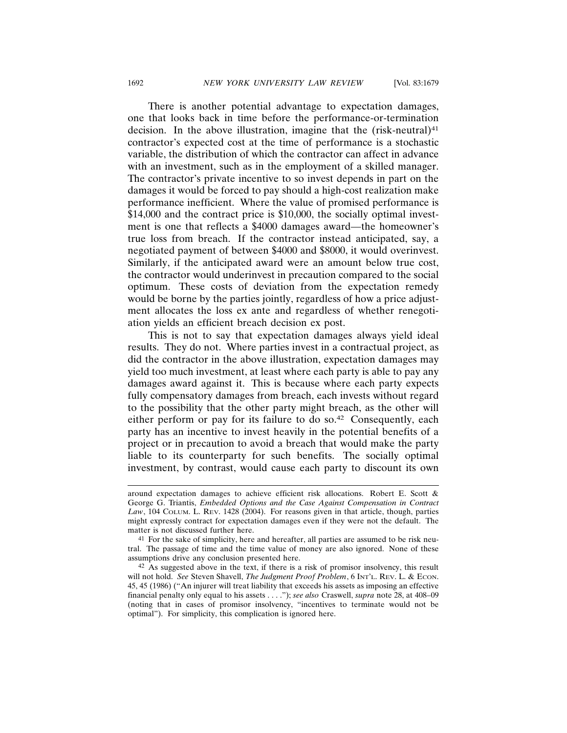There is another potential advantage to expectation damages, one that looks back in time before the performance-or-termination decision. In the above illustration, imagine that the  $(risk-neutral)^{41}$ contractor's expected cost at the time of performance is a stochastic variable, the distribution of which the contractor can affect in advance with an investment, such as in the employment of a skilled manager. The contractor's private incentive to so invest depends in part on the damages it would be forced to pay should a high-cost realization make performance inefficient. Where the value of promised performance is \$14,000 and the contract price is \$10,000, the socially optimal investment is one that reflects a \$4000 damages award—the homeowner's true loss from breach. If the contractor instead anticipated, say, a negotiated payment of between \$4000 and \$8000, it would overinvest. Similarly, if the anticipated award were an amount below true cost, the contractor would underinvest in precaution compared to the social optimum. These costs of deviation from the expectation remedy would be borne by the parties jointly, regardless of how a price adjustment allocates the loss ex ante and regardless of whether renegotiation yields an efficient breach decision ex post.

This is not to say that expectation damages always yield ideal results. They do not. Where parties invest in a contractual project, as did the contractor in the above illustration, expectation damages may yield too much investment, at least where each party is able to pay any damages award against it. This is because where each party expects fully compensatory damages from breach, each invests without regard to the possibility that the other party might breach, as the other will either perform or pay for its failure to do so.<sup>42</sup> Consequently, each party has an incentive to invest heavily in the potential benefits of a project or in precaution to avoid a breach that would make the party liable to its counterparty for such benefits. The socially optimal investment, by contrast, would cause each party to discount its own

around expectation damages to achieve efficient risk allocations. Robert E. Scott & George G. Triantis, *Embedded Options and the Case Against Compensation in Contract Law*, 104 COLUM. L. REV. 1428 (2004). For reasons given in that article, though, parties might expressly contract for expectation damages even if they were not the default. The matter is not discussed further here.

<sup>41</sup> For the sake of simplicity, here and hereafter, all parties are assumed to be risk neutral. The passage of time and the time value of money are also ignored. None of these assumptions drive any conclusion presented here.

<sup>42</sup> As suggested above in the text, if there is a risk of promisor insolvency, this result will not hold. *See* Steven Shavell, *The Judgment Proof Problem*, 6 INT'L. REV. L. & ECON. 45, 45 (1986) ("An injurer will treat liability that exceeds his assets as imposing an effective financial penalty only equal to his assets . . . ."); *see also* Craswell, *supra* note 28, at 408–09 (noting that in cases of promisor insolvency, "incentives to terminate would not be optimal"). For simplicity, this complication is ignored here.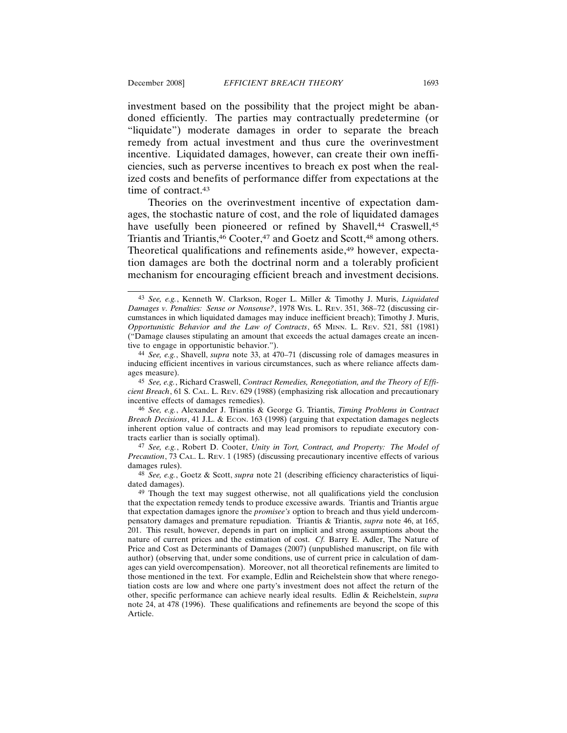investment based on the possibility that the project might be abandoned efficiently. The parties may contractually predetermine (or "liquidate") moderate damages in order to separate the breach remedy from actual investment and thus cure the overinvestment incentive. Liquidated damages, however, can create their own inefficiencies, such as perverse incentives to breach ex post when the realized costs and benefits of performance differ from expectations at the time of contract.43

Theories on the overinvestment incentive of expectation damages, the stochastic nature of cost, and the role of liquidated damages have usefully been pioneered or refined by Shavell,<sup>44</sup> Craswell,<sup>45</sup> Triantis and Triantis,<sup>46</sup> Cooter,<sup>47</sup> and Goetz and Scott,<sup>48</sup> among others. Theoretical qualifications and refinements aside,<sup>49</sup> however, expectation damages are both the doctrinal norm and a tolerably proficient mechanism for encouraging efficient breach and investment decisions.

45 *See, e.g.*, Richard Craswell, *Contract Remedies, Renegotiation, and the Theory of Efficient Breach*, 61 S. CAL. L. REV. 629 (1988) (emphasizing risk allocation and precautionary incentive effects of damages remedies).

46 *See, e.g.*, Alexander J. Triantis & George G. Triantis, *Timing Problems in Contract Breach Decisions*, 41 J.L. & ECON. 163 (1998) (arguing that expectation damages neglects inherent option value of contracts and may lead promisors to repudiate executory contracts earlier than is socially optimal).

47 *See, e.g.*, Robert D. Cooter, *Unity in Tort, Contract, and Property: The Model of Precaution*, 73 CAL. L. REV. 1 (1985) (discussing precautionary incentive effects of various damages rules).

48 *See, e.g.*, Goetz & Scott, *supra* note 21 (describing efficiency characteristics of liquidated damages).

<sup>43</sup> *See, e.g.*, Kenneth W. Clarkson, Roger L. Miller & Timothy J. Muris, *Liquidated Damages v. Penalties: Sense or Nonsense?*, 1978 WIS. L. REV. 351, 368–72 (discussing circumstances in which liquidated damages may induce inefficient breach); Timothy J. Muris, *Opportunistic Behavior and the Law of Contracts*, 65 MINN. L. REV. 521, 581 (1981) ("Damage clauses stipulating an amount that exceeds the actual damages create an incentive to engage in opportunistic behavior.").

<sup>44</sup> *See, e.g.*, Shavell, *supra* note 33, at 470–71 (discussing role of damages measures in inducing efficient incentives in various circumstances, such as where reliance affects damages measure).

<sup>&</sup>lt;sup>49</sup> Though the text may suggest otherwise, not all qualifications yield the conclusion that the expectation remedy tends to produce excessive awards. Triantis and Triantis argue that expectation damages ignore the *promisee's* option to breach and thus yield undercompensatory damages and premature repudiation. Triantis & Triantis, *supra* note 46, at 165, 201. This result, however, depends in part on implicit and strong assumptions about the nature of current prices and the estimation of cost. *Cf.* Barry E. Adler, The Nature of Price and Cost as Determinants of Damages (2007) (unpublished manuscript, on file with author) (observing that, under some conditions, use of current price in calculation of damages can yield overcompensation). Moreover, not all theoretical refinements are limited to those mentioned in the text. For example, Edlin and Reichelstein show that where renegotiation costs are low and where one party's investment does not affect the return of the other, specific performance can achieve nearly ideal results. Edlin & Reichelstein, *supra* note 24, at 478 (1996). These qualifications and refinements are beyond the scope of this Article.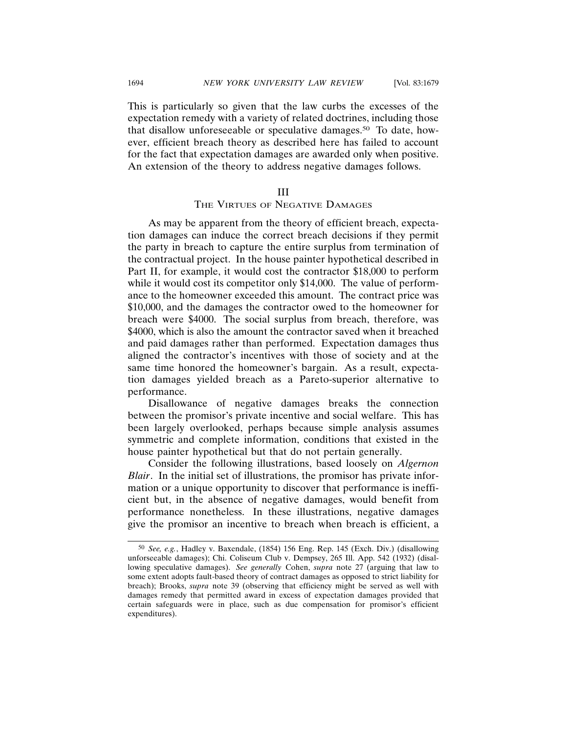This is particularly so given that the law curbs the excesses of the expectation remedy with a variety of related doctrines, including those that disallow unforeseeable or speculative damages.50 To date, however, efficient breach theory as described here has failed to account for the fact that expectation damages are awarded only when positive. An extension of the theory to address negative damages follows.

# III

# THE VIRTUES OF NEGATIVE DAMAGES

As may be apparent from the theory of efficient breach, expectation damages can induce the correct breach decisions if they permit the party in breach to capture the entire surplus from termination of the contractual project. In the house painter hypothetical described in Part II, for example, it would cost the contractor \$18,000 to perform while it would cost its competitor only \$14,000. The value of performance to the homeowner exceeded this amount. The contract price was \$10,000, and the damages the contractor owed to the homeowner for breach were \$4000. The social surplus from breach, therefore, was \$4000, which is also the amount the contractor saved when it breached and paid damages rather than performed. Expectation damages thus aligned the contractor's incentives with those of society and at the same time honored the homeowner's bargain. As a result, expectation damages yielded breach as a Pareto-superior alternative to performance.

Disallowance of negative damages breaks the connection between the promisor's private incentive and social welfare. This has been largely overlooked, perhaps because simple analysis assumes symmetric and complete information, conditions that existed in the house painter hypothetical but that do not pertain generally.

Consider the following illustrations, based loosely on *Algernon Blair*. In the initial set of illustrations, the promisor has private information or a unique opportunity to discover that performance is inefficient but, in the absence of negative damages, would benefit from performance nonetheless. In these illustrations, negative damages give the promisor an incentive to breach when breach is efficient, a

<sup>50</sup> *See, e.g.*, Hadley v. Baxendale, (1854) 156 Eng. Rep. 145 (Exch. Div.) (disallowing unforseeable damages); Chi. Coliseum Club v. Dempsey, 265 Ill. App. 542 (1932) (disallowing speculative damages). *See generally* Cohen, *supra* note 27 (arguing that law to some extent adopts fault-based theory of contract damages as opposed to strict liability for breach); Brooks, *supra* note 39 (observing that efficiency might be served as well with damages remedy that permitted award in excess of expectation damages provided that certain safeguards were in place, such as due compensation for promisor's efficient expenditures).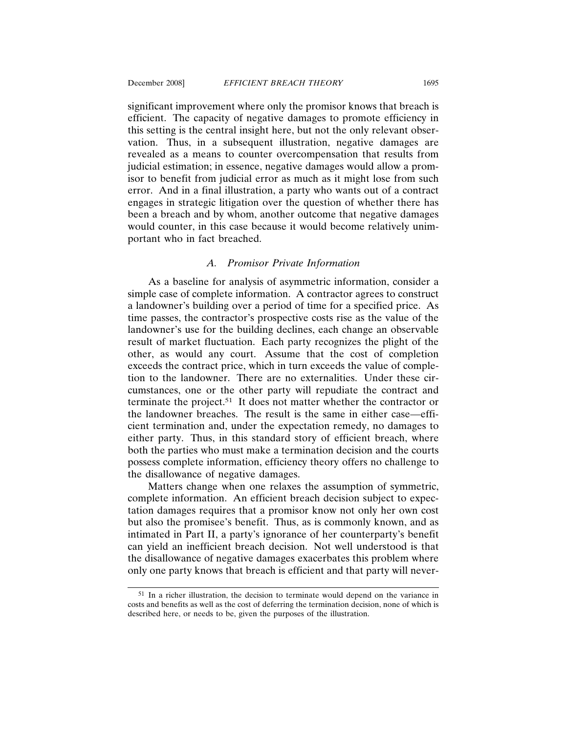portant who in fact breached.

significant improvement where only the promisor knows that breach is efficient. The capacity of negative damages to promote efficiency in this setting is the central insight here, but not the only relevant observation. Thus, in a subsequent illustration, negative damages are revealed as a means to counter overcompensation that results from judicial estimation; in essence, negative damages would allow a promisor to benefit from judicial error as much as it might lose from such error. And in a final illustration, a party who wants out of a contract engages in strategic litigation over the question of whether there has been a breach and by whom, another outcome that negative damages would counter, in this case because it would become relatively unim-

#### *A. Promisor Private Information*

As a baseline for analysis of asymmetric information, consider a simple case of complete information. A contractor agrees to construct a landowner's building over a period of time for a specified price. As time passes, the contractor's prospective costs rise as the value of the landowner's use for the building declines, each change an observable result of market fluctuation. Each party recognizes the plight of the other, as would any court. Assume that the cost of completion exceeds the contract price, which in turn exceeds the value of completion to the landowner. There are no externalities. Under these circumstances, one or the other party will repudiate the contract and terminate the project.51 It does not matter whether the contractor or the landowner breaches. The result is the same in either case—efficient termination and, under the expectation remedy, no damages to either party. Thus, in this standard story of efficient breach, where both the parties who must make a termination decision and the courts possess complete information, efficiency theory offers no challenge to the disallowance of negative damages.

Matters change when one relaxes the assumption of symmetric, complete information. An efficient breach decision subject to expectation damages requires that a promisor know not only her own cost but also the promisee's benefit. Thus, as is commonly known, and as intimated in Part II, a party's ignorance of her counterparty's benefit can yield an inefficient breach decision. Not well understood is that the disallowance of negative damages exacerbates this problem where only one party knows that breach is efficient and that party will never-

<sup>51</sup> In a richer illustration, the decision to terminate would depend on the variance in costs and benefits as well as the cost of deferring the termination decision, none of which is described here, or needs to be, given the purposes of the illustration.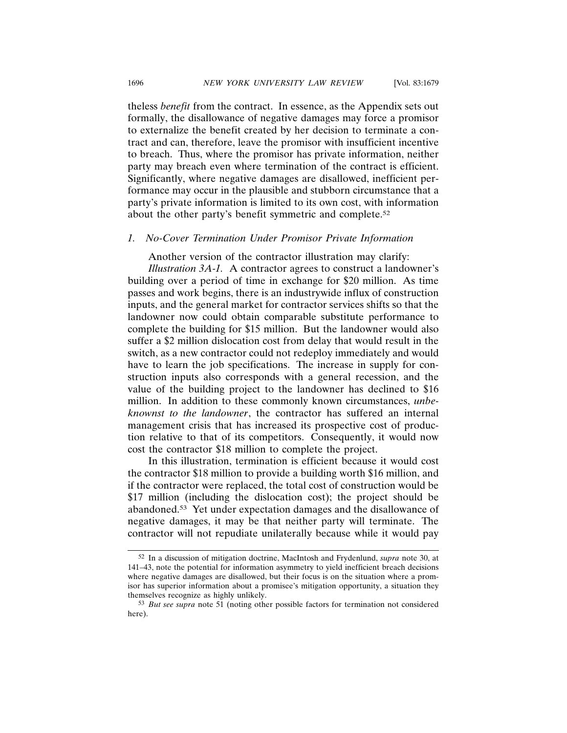theless *benefit* from the contract. In essence, as the Appendix sets out formally, the disallowance of negative damages may force a promisor to externalize the benefit created by her decision to terminate a contract and can, therefore, leave the promisor with insufficient incentive to breach. Thus, where the promisor has private information, neither party may breach even where termination of the contract is efficient. Significantly, where negative damages are disallowed, inefficient performance may occur in the plausible and stubborn circumstance that a party's private information is limited to its own cost, with information about the other party's benefit symmetric and complete.52

#### *1. No-Cover Termination Under Promisor Private Information*

Another version of the contractor illustration may clarify:

*Illustration 3A-1.* A contractor agrees to construct a landowner's building over a period of time in exchange for \$20 million. As time passes and work begins, there is an industrywide influx of construction inputs, and the general market for contractor services shifts so that the landowner now could obtain comparable substitute performance to complete the building for \$15 million. But the landowner would also suffer a \$2 million dislocation cost from delay that would result in the switch, as a new contractor could not redeploy immediately and would have to learn the job specifications. The increase in supply for construction inputs also corresponds with a general recession, and the value of the building project to the landowner has declined to \$16 million. In addition to these commonly known circumstances, *unbeknownst to the landowner*, the contractor has suffered an internal management crisis that has increased its prospective cost of production relative to that of its competitors. Consequently, it would now cost the contractor \$18 million to complete the project.

In this illustration, termination is efficient because it would cost the contractor \$18 million to provide a building worth \$16 million, and if the contractor were replaced, the total cost of construction would be \$17 million (including the dislocation cost); the project should be abandoned.53 Yet under expectation damages and the disallowance of negative damages, it may be that neither party will terminate. The contractor will not repudiate unilaterally because while it would pay

<sup>52</sup> In a discussion of mitigation doctrine, MacIntosh and Frydenlund, *supra* note 30, at 141–43, note the potential for information asymmetry to yield inefficient breach decisions where negative damages are disallowed, but their focus is on the situation where a promisor has superior information about a promisee's mitigation opportunity, a situation they themselves recognize as highly unlikely.

<sup>53</sup> *But see supra* note 51 (noting other possible factors for termination not considered here).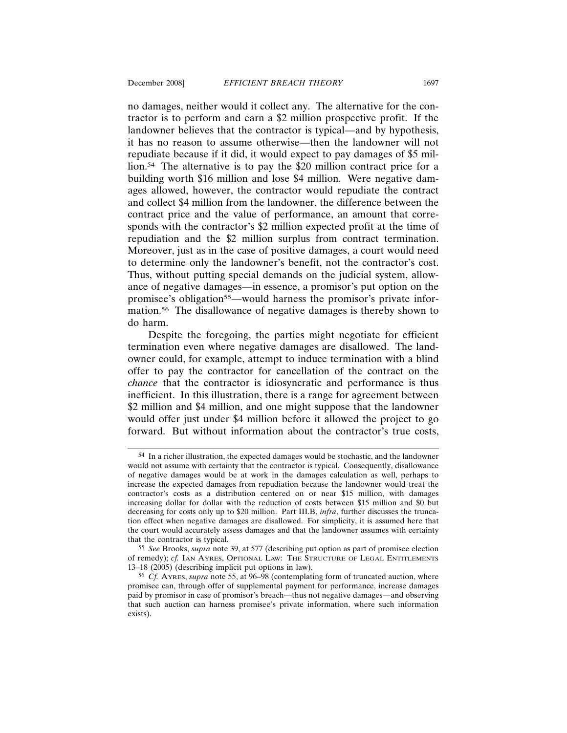no damages, neither would it collect any. The alternative for the contractor is to perform and earn a \$2 million prospective profit. If the landowner believes that the contractor is typical—and by hypothesis, it has no reason to assume otherwise—then the landowner will not repudiate because if it did, it would expect to pay damages of \$5 million.54 The alternative is to pay the \$20 million contract price for a building worth \$16 million and lose \$4 million. Were negative damages allowed, however, the contractor would repudiate the contract and collect \$4 million from the landowner, the difference between the contract price and the value of performance, an amount that corresponds with the contractor's \$2 million expected profit at the time of repudiation and the \$2 million surplus from contract termination. Moreover, just as in the case of positive damages, a court would need to determine only the landowner's benefit, not the contractor's cost. Thus, without putting special demands on the judicial system, allowance of negative damages—in essence, a promisor's put option on the promisee's obligation<sup>55</sup>—would harness the promisor's private information.56 The disallowance of negative damages is thereby shown to do harm.

Despite the foregoing, the parties might negotiate for efficient termination even where negative damages are disallowed. The landowner could, for example, attempt to induce termination with a blind offer to pay the contractor for cancellation of the contract on the *chance* that the contractor is idiosyncratic and performance is thus inefficient. In this illustration, there is a range for agreement between \$2 million and \$4 million, and one might suppose that the landowner would offer just under \$4 million before it allowed the project to go forward. But without information about the contractor's true costs,

<sup>54</sup> In a richer illustration, the expected damages would be stochastic, and the landowner would not assume with certainty that the contractor is typical. Consequently, disallowance of negative damages would be at work in the damages calculation as well, perhaps to increase the expected damages from repudiation because the landowner would treat the contractor's costs as a distribution centered on or near \$15 million, with damages increasing dollar for dollar with the reduction of costs between \$15 million and \$0 but decreasing for costs only up to \$20 million. Part III.B, *infra*, further discusses the truncation effect when negative damages are disallowed. For simplicity, it is assumed here that the court would accurately assess damages and that the landowner assumes with certainty that the contractor is typical.

<sup>55</sup> *See* Brooks, *supra* note 39, at 577 (describing put option as part of promisee election of remedy); *cf.* IAN AYRES, OPTIONAL LAW: THE STRUCTURE OF LEGAL ENTITLEMENTS 13–18 (2005) (describing implicit put options in law).

<sup>56</sup> *Cf.* AYRES, *supra* note 55, at 96–98 (contemplating form of truncated auction, where promisee can, through offer of supplemental payment for performance, increase damages paid by promisor in case of promisor's breach—thus not negative damages—and observing that such auction can harness promisee's private information, where such information exists).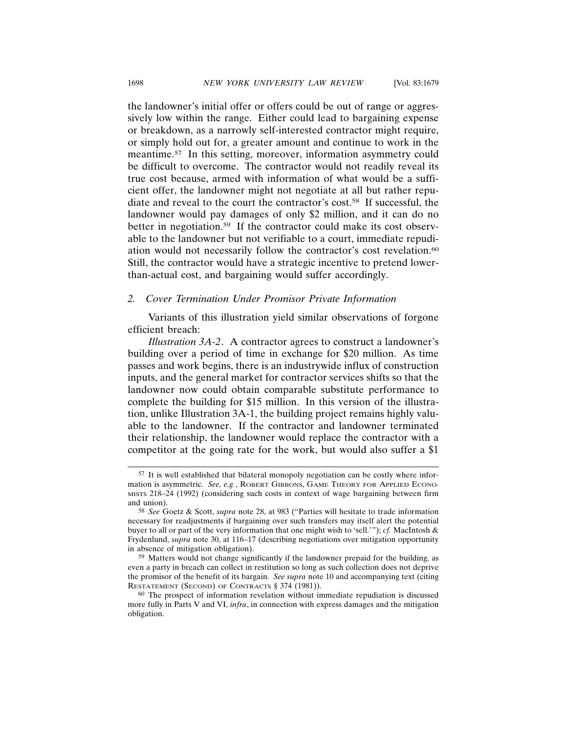the landowner's initial offer or offers could be out of range or aggressively low within the range. Either could lead to bargaining expense or breakdown, as a narrowly self-interested contractor might require, or simply hold out for, a greater amount and continue to work in the meantime.57 In this setting, moreover, information asymmetry could be difficult to overcome. The contractor would not readily reveal its true cost because, armed with information of what would be a sufficient offer, the landowner might not negotiate at all but rather repudiate and reveal to the court the contractor's cost.58 If successful, the landowner would pay damages of only \$2 million, and it can do no better in negotiation.<sup>59</sup> If the contractor could make its cost observable to the landowner but not verifiable to a court, immediate repudiation would not necessarily follow the contractor's cost revelation.60 Still, the contractor would have a strategic incentive to pretend lowerthan-actual cost, and bargaining would suffer accordingly.

#### *2. Cover Termination Under Promisor Private Information*

Variants of this illustration yield similar observations of forgone efficient breach:

*Illustration 3A-2*. A contractor agrees to construct a landowner's building over a period of time in exchange for \$20 million. As time passes and work begins, there is an industrywide influx of construction inputs, and the general market for contractor services shifts so that the landowner now could obtain comparable substitute performance to complete the building for \$15 million. In this version of the illustration, unlike Illustration 3A-1, the building project remains highly valuable to the landowner. If the contractor and landowner terminated their relationship, the landowner would replace the contractor with a competitor at the going rate for the work, but would also suffer a \$1

<sup>57</sup> It is well established that bilateral monopoly negotiation can be costly where information is asymmetric. *See, e.g.*, ROBERT GIBBONS, GAME THEORY FOR APPLIED ECONO-MISTS 218–24 (1992) (considering such costs in context of wage bargaining between firm and union).

<sup>58</sup> *See* Goetz & Scott, *supra* note 28, at 983 ("Parties will hesitate to trade information necessary for readjustments if bargaining over such transfers may itself alert the potential buyer to all or part of the very information that one might wish to 'sell.'"); *cf.* MacIntosh & Frydenlund, *supra* note 30, at 116–17 (describing negotiations over mitigation opportunity in absence of mitigation obligation).

<sup>59</sup> Matters would not change significantly if the landowner prepaid for the building, as even a party in breach can collect in restitution so long as such collection does not deprive the promisor of the benefit of its bargain. *See supra* note 10 and accompanying text (citing RESTATEMENT (SECOND) OF CONTRACTS § 374 (1981)).

<sup>60</sup> The prospect of information revelation without immediate repudiation is discussed more fully in Parts V and VI, *infra*, in connection with express damages and the mitigation obligation.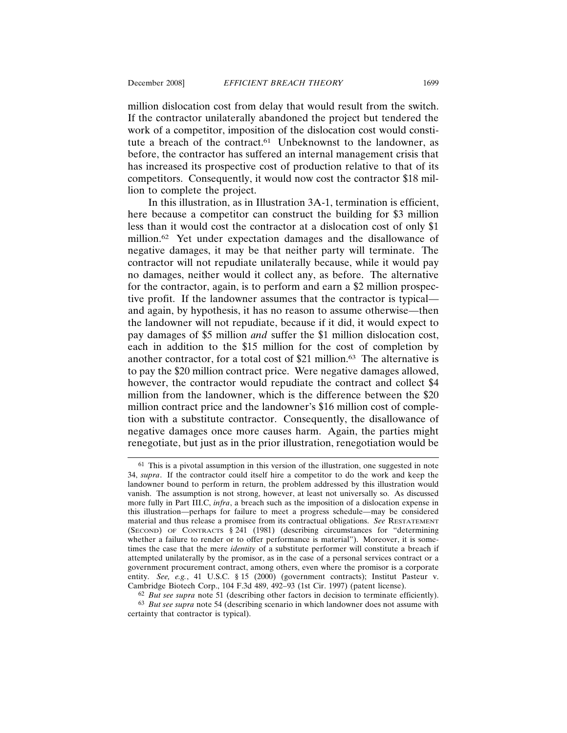million dislocation cost from delay that would result from the switch. If the contractor unilaterally abandoned the project but tendered the work of a competitor, imposition of the dislocation cost would constitute a breach of the contract.61 Unbeknownst to the landowner, as before, the contractor has suffered an internal management crisis that has increased its prospective cost of production relative to that of its competitors. Consequently, it would now cost the contractor \$18 million to complete the project.

In this illustration, as in Illustration 3A-1, termination is efficient, here because a competitor can construct the building for \$3 million less than it would cost the contractor at a dislocation cost of only \$1 million.62 Yet under expectation damages and the disallowance of negative damages, it may be that neither party will terminate. The contractor will not repudiate unilaterally because, while it would pay no damages, neither would it collect any, as before. The alternative for the contractor, again, is to perform and earn a \$2 million prospective profit. If the landowner assumes that the contractor is typical and again, by hypothesis, it has no reason to assume otherwise—then the landowner will not repudiate, because if it did, it would expect to pay damages of \$5 million *and* suffer the \$1 million dislocation cost, each in addition to the \$15 million for the cost of completion by another contractor, for a total cost of \$21 million.63 The alternative is to pay the \$20 million contract price. Were negative damages allowed, however, the contractor would repudiate the contract and collect \$4 million from the landowner, which is the difference between the \$20 million contract price and the landowner's \$16 million cost of completion with a substitute contractor. Consequently, the disallowance of negative damages once more causes harm. Again, the parties might renegotiate, but just as in the prior illustration, renegotiation would be

<sup>61</sup> This is a pivotal assumption in this version of the illustration, one suggested in note 34, *supra*. If the contractor could itself hire a competitor to do the work and keep the landowner bound to perform in return, the problem addressed by this illustration would vanish. The assumption is not strong, however, at least not universally so. As discussed more fully in Part III.C, *infra*, a breach such as the imposition of a dislocation expense in this illustration—perhaps for failure to meet a progress schedule—may be considered material and thus release a promisee from its contractual obligations. *See* RESTATEMENT (SECOND) OF CONTRACTS § 241 (1981) (describing circumstances for "determining whether a failure to render or to offer performance is material"). Moreover, it is sometimes the case that the mere *identity* of a substitute performer will constitute a breach if attempted unilaterally by the promisor, as in the case of a personal services contract or a government procurement contract, among others, even where the promisor is a corporate entity. See, e.g., 41 U.S.C. § 15 (2000) (government contracts); Institut Pasteur v. Cambridge Biotech Corp., 104 F.3d 489, 492–93 (1st Cir. 1997) (patent license).

<sup>62</sup> *But see supra* note 51 (describing other factors in decision to terminate efficiently).

<sup>63</sup> *But see supra* note 54 (describing scenario in which landowner does not assume with certainty that contractor is typical).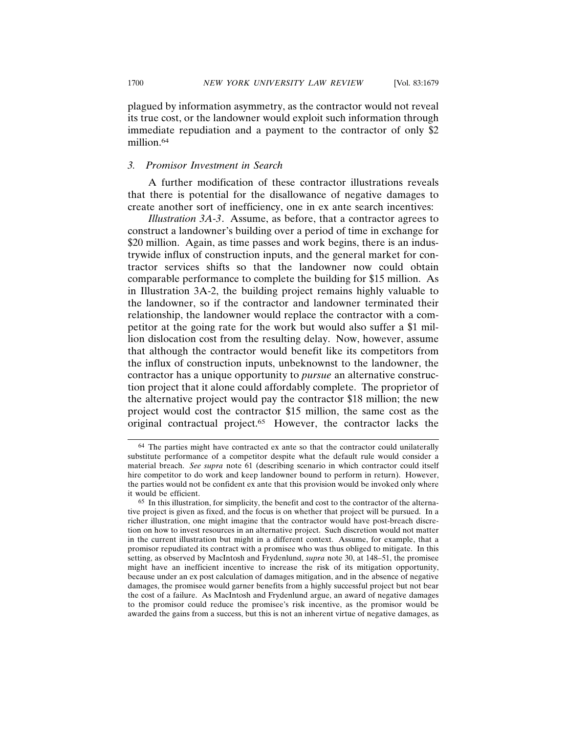plagued by information asymmetry, as the contractor would not reveal its true cost, or the landowner would exploit such information through immediate repudiation and a payment to the contractor of only \$2 million.64

# *3. Promisor Investment in Search*

A further modification of these contractor illustrations reveals that there is potential for the disallowance of negative damages to create another sort of inefficiency, one in ex ante search incentives:

*Illustration 3A-3*. Assume, as before, that a contractor agrees to construct a landowner's building over a period of time in exchange for \$20 million. Again, as time passes and work begins, there is an industrywide influx of construction inputs, and the general market for contractor services shifts so that the landowner now could obtain comparable performance to complete the building for \$15 million. As in Illustration 3A-2, the building project remains highly valuable to the landowner, so if the contractor and landowner terminated their relationship, the landowner would replace the contractor with a competitor at the going rate for the work but would also suffer a \$1 million dislocation cost from the resulting delay. Now, however, assume that although the contractor would benefit like its competitors from the influx of construction inputs, unbeknownst to the landowner, the contractor has a unique opportunity to *pursue* an alternative construction project that it alone could affordably complete. The proprietor of the alternative project would pay the contractor \$18 million; the new project would cost the contractor \$15 million, the same cost as the original contractual project.65 However, the contractor lacks the

<sup>64</sup> The parties might have contracted ex ante so that the contractor could unilaterally substitute performance of a competitor despite what the default rule would consider a material breach. *See supra* note 61 (describing scenario in which contractor could itself hire competitor to do work and keep landowner bound to perform in return). However, the parties would not be confident ex ante that this provision would be invoked only where it would be efficient.

<sup>65</sup> In this illustration, for simplicity, the benefit and cost to the contractor of the alternative project is given as fixed, and the focus is on whether that project will be pursued. In a richer illustration, one might imagine that the contractor would have post-breach discretion on how to invest resources in an alternative project. Such discretion would not matter in the current illustration but might in a different context. Assume, for example, that a promisor repudiated its contract with a promisee who was thus obliged to mitigate. In this setting, as observed by MacIntosh and Frydenlund, *supra* note 30, at 148–51, the promisee might have an inefficient incentive to increase the risk of its mitigation opportunity, because under an ex post calculation of damages mitigation, and in the absence of negative damages, the promisee would garner benefits from a highly successful project but not bear the cost of a failure. As MacIntosh and Frydenlund argue, an award of negative damages to the promisor could reduce the promisee's risk incentive, as the promisor would be awarded the gains from a success, but this is not an inherent virtue of negative damages, as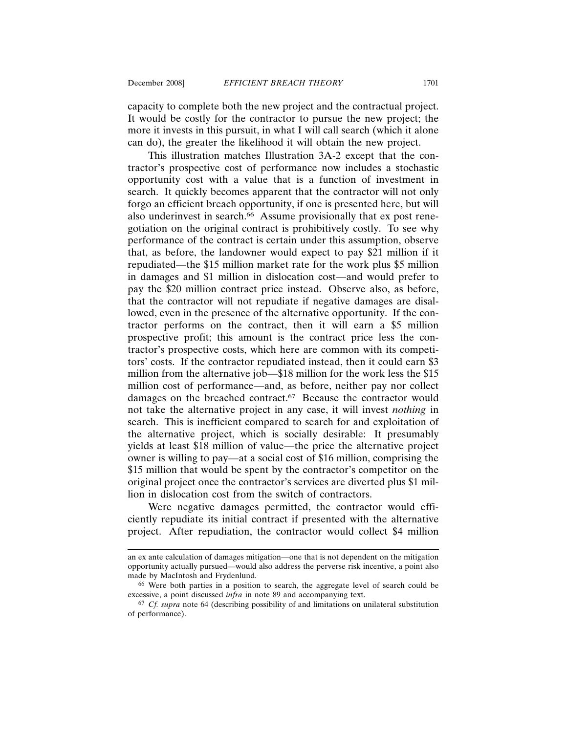capacity to complete both the new project and the contractual project. It would be costly for the contractor to pursue the new project; the more it invests in this pursuit, in what I will call search (which it alone can do), the greater the likelihood it will obtain the new project.

This illustration matches Illustration 3A-2 except that the contractor's prospective cost of performance now includes a stochastic opportunity cost with a value that is a function of investment in search. It quickly becomes apparent that the contractor will not only forgo an efficient breach opportunity, if one is presented here, but will also underinvest in search.<sup>66</sup> Assume provisionally that ex post renegotiation on the original contract is prohibitively costly. To see why performance of the contract is certain under this assumption, observe that, as before, the landowner would expect to pay \$21 million if it repudiated—the \$15 million market rate for the work plus \$5 million in damages and \$1 million in dislocation cost—and would prefer to pay the \$20 million contract price instead. Observe also, as before, that the contractor will not repudiate if negative damages are disallowed, even in the presence of the alternative opportunity. If the contractor performs on the contract, then it will earn a \$5 million prospective profit; this amount is the contract price less the contractor's prospective costs, which here are common with its competitors' costs. If the contractor repudiated instead, then it could earn \$3 million from the alternative job—\$18 million for the work less the \$15 million cost of performance—and, as before, neither pay nor collect damages on the breached contract.67 Because the contractor would not take the alternative project in any case, it will invest *nothing* in search. This is inefficient compared to search for and exploitation of the alternative project, which is socially desirable: It presumably yields at least \$18 million of value—the price the alternative project owner is willing to pay—at a social cost of \$16 million, comprising the \$15 million that would be spent by the contractor's competitor on the original project once the contractor's services are diverted plus \$1 million in dislocation cost from the switch of contractors.

Were negative damages permitted, the contractor would efficiently repudiate its initial contract if presented with the alternative project. After repudiation, the contractor would collect \$4 million

an ex ante calculation of damages mitigation—one that is not dependent on the mitigation opportunity actually pursued—would also address the perverse risk incentive, a point also made by MacIntosh and Frydenlund.

<sup>66</sup> Were both parties in a position to search, the aggregate level of search could be excessive, a point discussed *infra* in note 89 and accompanying text.

<sup>67</sup> *Cf. supra* note 64 (describing possibility of and limitations on unilateral substitution of performance).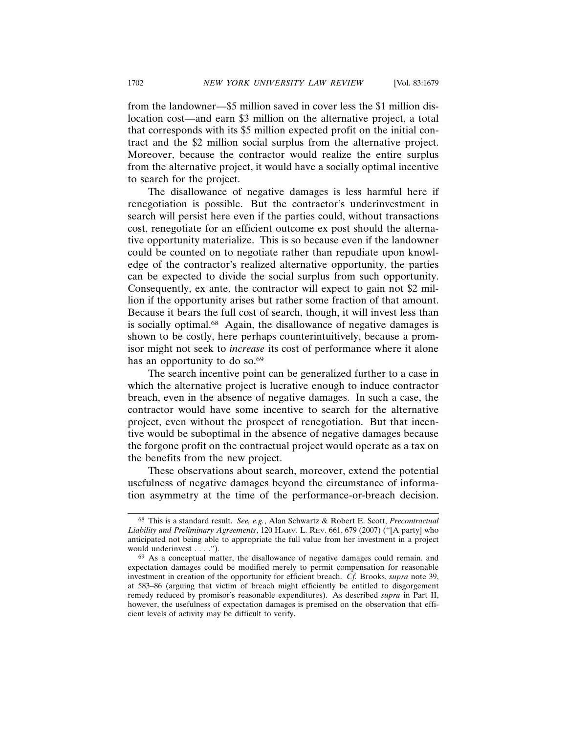from the landowner—\$5 million saved in cover less the \$1 million dislocation cost—and earn \$3 million on the alternative project, a total that corresponds with its \$5 million expected profit on the initial contract and the \$2 million social surplus from the alternative project. Moreover, because the contractor would realize the entire surplus from the alternative project, it would have a socially optimal incentive to search for the project.

The disallowance of negative damages is less harmful here if renegotiation is possible. But the contractor's underinvestment in search will persist here even if the parties could, without transactions cost, renegotiate for an efficient outcome ex post should the alternative opportunity materialize. This is so because even if the landowner could be counted on to negotiate rather than repudiate upon knowledge of the contractor's realized alternative opportunity, the parties can be expected to divide the social surplus from such opportunity. Consequently, ex ante, the contractor will expect to gain not \$2 million if the opportunity arises but rather some fraction of that amount. Because it bears the full cost of search, though, it will invest less than is socially optimal.68 Again, the disallowance of negative damages is shown to be costly, here perhaps counterintuitively, because a promisor might not seek to *increase* its cost of performance where it alone has an opportunity to do so.<sup>69</sup>

The search incentive point can be generalized further to a case in which the alternative project is lucrative enough to induce contractor breach, even in the absence of negative damages. In such a case, the contractor would have some incentive to search for the alternative project, even without the prospect of renegotiation. But that incentive would be suboptimal in the absence of negative damages because the forgone profit on the contractual project would operate as a tax on the benefits from the new project.

These observations about search, moreover, extend the potential usefulness of negative damages beyond the circumstance of information asymmetry at the time of the performance-or-breach decision.

<sup>68</sup> This is a standard result. *See, e.g.*, Alan Schwartz & Robert E. Scott, *Precontractual Liability and Preliminary Agreements*, 120 HARV. L. REV. 661, 679 (2007) ("[A party] who anticipated not being able to appropriate the full value from her investment in a project would underinvest . . . .").

<sup>69</sup> As a conceptual matter, the disallowance of negative damages could remain, and expectation damages could be modified merely to permit compensation for reasonable investment in creation of the opportunity for efficient breach. *Cf.* Brooks, *supra* note 39, at 583–86 (arguing that victim of breach might efficiently be entitled to disgorgement remedy reduced by promisor's reasonable expenditures). As described *supra* in Part II, however, the usefulness of expectation damages is premised on the observation that efficient levels of activity may be difficult to verify.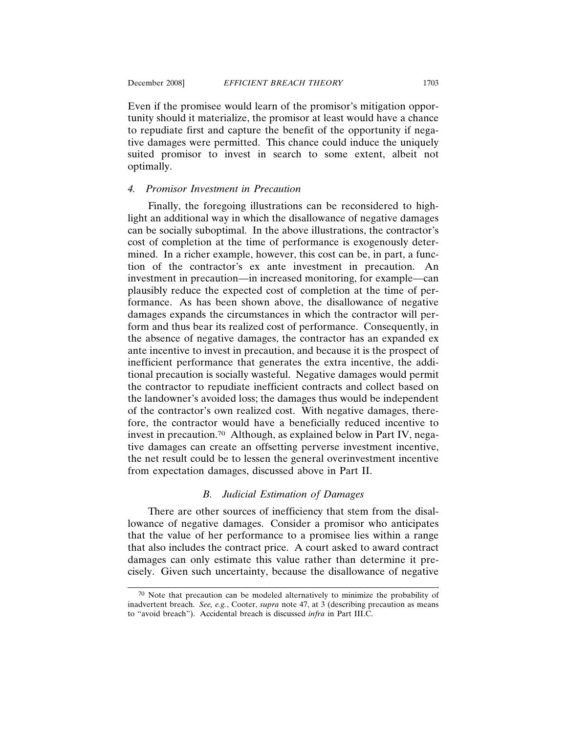Even if the promisee would learn of the promisor's mitigation opportunity should it materialize, the promisor at least would have a chance to repudiate first and capture the benefit of the opportunity if negative damages were permitted. This chance could induce the uniquely suited promisor to invest in search to some extent, albeit not optimally.

# *4. Promisor Investment in Precaution*

Finally, the foregoing illustrations can be reconsidered to highlight an additional way in which the disallowance of negative damages can be socially suboptimal. In the above illustrations, the contractor's cost of completion at the time of performance is exogenously determined. In a richer example, however, this cost can be, in part, a function of the contractor's ex ante investment in precaution. An investment in precaution—in increased monitoring, for example—can plausibly reduce the expected cost of completion at the time of performance. As has been shown above, the disallowance of negative damages expands the circumstances in which the contractor will perform and thus bear its realized cost of performance. Consequently, in the absence of negative damages, the contractor has an expanded ex ante incentive to invest in precaution, and because it is the prospect of inefficient performance that generates the extra incentive, the additional precaution is socially wasteful. Negative damages would permit the contractor to repudiate inefficient contracts and collect based on the landowner's avoided loss; the damages thus would be independent of the contractor's own realized cost. With negative damages, therefore, the contractor would have a beneficially reduced incentive to invest in precaution.70 Although, as explained below in Part IV, negative damages can create an offsetting perverse investment incentive, the net result could be to lessen the general overinvestment incentive from expectation damages, discussed above in Part II.

# *B. Judicial Estimation of Damages*

There are other sources of inefficiency that stem from the disallowance of negative damages. Consider a promisor who anticipates that the value of her performance to a promisee lies within a range that also includes the contract price. A court asked to award contract damages can only estimate this value rather than determine it precisely. Given such uncertainty, because the disallowance of negative

<sup>70</sup> Note that precaution can be modeled alternatively to minimize the probability of inadvertent breach. *See, e.g.*, Cooter, *supra* note 47, at 3 (describing precaution as means to "avoid breach"). Accidental breach is discussed *infra* in Part III.C.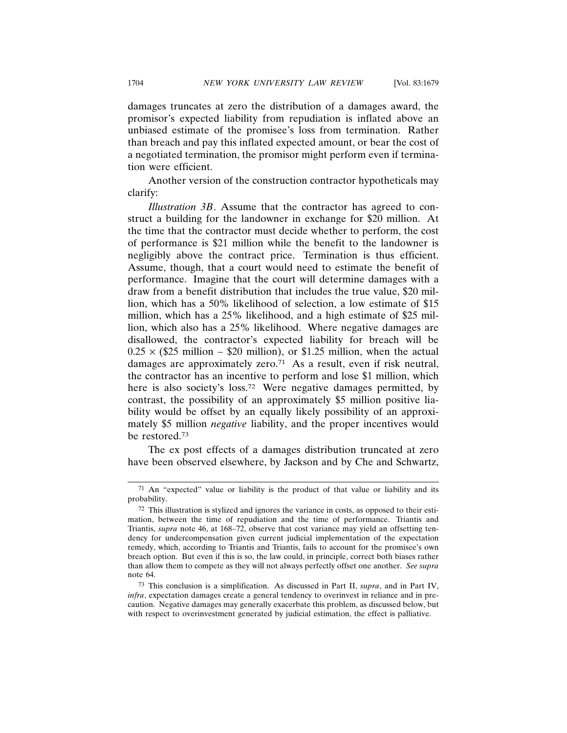damages truncates at zero the distribution of a damages award, the promisor's expected liability from repudiation is inflated above an unbiased estimate of the promisee's loss from termination. Rather than breach and pay this inflated expected amount, or bear the cost of a negotiated termination, the promisor might perform even if termination were efficient.

Another version of the construction contractor hypotheticals may clarify:

*Illustration 3B*. Assume that the contractor has agreed to construct a building for the landowner in exchange for \$20 million. At the time that the contractor must decide whether to perform, the cost of performance is \$21 million while the benefit to the landowner is negligibly above the contract price. Termination is thus efficient. Assume, though, that a court would need to estimate the benefit of performance. Imagine that the court will determine damages with a draw from a benefit distribution that includes the true value, \$20 million, which has a 50% likelihood of selection, a low estimate of \$15 million, which has a 25% likelihood, and a high estimate of \$25 million, which also has a 25% likelihood. Where negative damages are disallowed, the contractor's expected liability for breach will be  $0.25 \times$  (\$25 million – \$20 million), or \$1.25 million, when the actual damages are approximately zero.71 As a result, even if risk neutral, the contractor has an incentive to perform and lose \$1 million, which here is also society's loss.<sup>72</sup> Were negative damages permitted, by contrast, the possibility of an approximately \$5 million positive liability would be offset by an equally likely possibility of an approximately \$5 million *negative* liability, and the proper incentives would be restored.73

The ex post effects of a damages distribution truncated at zero have been observed elsewhere, by Jackson and by Che and Schwartz,

<sup>71</sup> An "expected" value or liability is the product of that value or liability and its probability.

<sup>72</sup> This illustration is stylized and ignores the variance in costs, as opposed to their estimation, between the time of repudiation and the time of performance. Triantis and Triantis, *supra* note 46, at 168–72, observe that cost variance may yield an offsetting tendency for undercompensation given current judicial implementation of the expectation remedy, which, according to Triantis and Triantis, fails to account for the promisee's own breach option. But even if this is so, the law could, in principle, correct both biases rather than allow them to compete as they will not always perfectly offset one another. *See supra* note 64.

<sup>73</sup> This conclusion is a simplification. As discussed in Part II, *supra*, and in Part IV, *infra*, expectation damages create a general tendency to overinvest in reliance and in precaution. Negative damages may generally exacerbate this problem, as discussed below, but with respect to overinvestment generated by judicial estimation, the effect is palliative.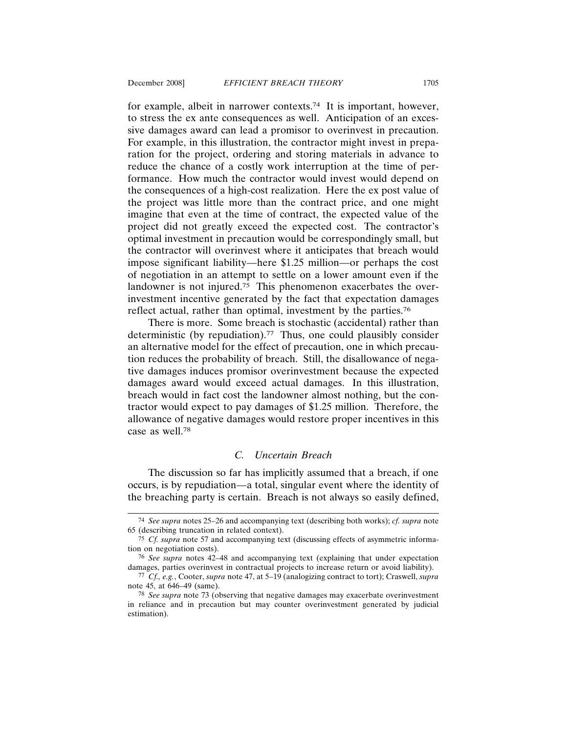for example, albeit in narrower contexts.74 It is important, however, to stress the ex ante consequences as well. Anticipation of an excessive damages award can lead a promisor to overinvest in precaution. For example, in this illustration, the contractor might invest in preparation for the project, ordering and storing materials in advance to reduce the chance of a costly work interruption at the time of performance. How much the contractor would invest would depend on the consequences of a high-cost realization. Here the ex post value of the project was little more than the contract price, and one might imagine that even at the time of contract, the expected value of the project did not greatly exceed the expected cost. The contractor's optimal investment in precaution would be correspondingly small, but the contractor will overinvest where it anticipates that breach would impose significant liability—here \$1.25 million—or perhaps the cost of negotiation in an attempt to settle on a lower amount even if the landowner is not injured.<sup>75</sup> This phenomenon exacerbates the overinvestment incentive generated by the fact that expectation damages reflect actual, rather than optimal, investment by the parties.76

There is more. Some breach is stochastic (accidental) rather than deterministic (by repudiation).<sup>77</sup> Thus, one could plausibly consider an alternative model for the effect of precaution, one in which precaution reduces the probability of breach. Still, the disallowance of negative damages induces promisor overinvestment because the expected damages award would exceed actual damages. In this illustration, breach would in fact cost the landowner almost nothing, but the contractor would expect to pay damages of \$1.25 million. Therefore, the allowance of negative damages would restore proper incentives in this case as well.78

#### *C. Uncertain Breach*

The discussion so far has implicitly assumed that a breach, if one occurs, is by repudiation—a total, singular event where the identity of the breaching party is certain. Breach is not always so easily defined,

<sup>74</sup> *See supra* notes 25–26 and accompanying text (describing both works); *cf. supra* note 65 (describing truncation in related context).

<sup>75</sup> *Cf. supra* note 57 and accompanying text (discussing effects of asymmetric information on negotiation costs).

<sup>76</sup> *See supra* notes 42–48 and accompanying text (explaining that under expectation damages, parties overinvest in contractual projects to increase return or avoid liability).

<sup>77</sup> *Cf., e.g.*, Cooter, *supra* note 47, at 5–19 (analogizing contract to tort); Craswell, *supra* note 45, at 646–49 (same).

<sup>78</sup> *See supra* note 73 (observing that negative damages may exacerbate overinvestment in reliance and in precaution but may counter overinvestment generated by judicial estimation).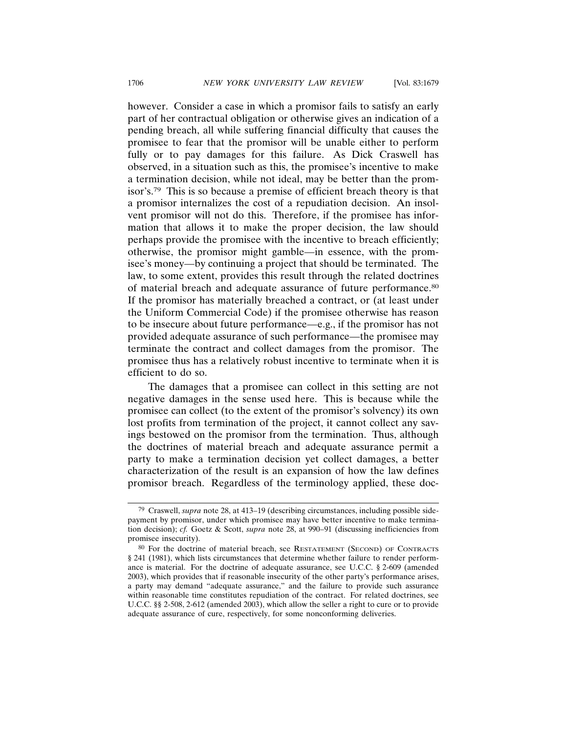however. Consider a case in which a promisor fails to satisfy an early part of her contractual obligation or otherwise gives an indication of a pending breach, all while suffering financial difficulty that causes the promisee to fear that the promisor will be unable either to perform fully or to pay damages for this failure. As Dick Craswell has observed, in a situation such as this, the promisee's incentive to make a termination decision, while not ideal, may be better than the promisor's.79 This is so because a premise of efficient breach theory is that a promisor internalizes the cost of a repudiation decision. An insolvent promisor will not do this. Therefore, if the promisee has information that allows it to make the proper decision, the law should perhaps provide the promisee with the incentive to breach efficiently; otherwise, the promisor might gamble—in essence, with the promisee's money—by continuing a project that should be terminated. The law, to some extent, provides this result through the related doctrines of material breach and adequate assurance of future performance.80 If the promisor has materially breached a contract, or (at least under the Uniform Commercial Code) if the promisee otherwise has reason to be insecure about future performance—e.g., if the promisor has not provided adequate assurance of such performance—the promisee may terminate the contract and collect damages from the promisor. The promisee thus has a relatively robust incentive to terminate when it is efficient to do so.

The damages that a promisee can collect in this setting are not negative damages in the sense used here. This is because while the promisee can collect (to the extent of the promisor's solvency) its own lost profits from termination of the project, it cannot collect any savings bestowed on the promisor from the termination. Thus, although the doctrines of material breach and adequate assurance permit a party to make a termination decision yet collect damages, a better characterization of the result is an expansion of how the law defines promisor breach. Regardless of the terminology applied, these doc-

<sup>79</sup> Craswell, *supra* note 28, at 413–19 (describing circumstances, including possible sidepayment by promisor, under which promisee may have better incentive to make termination decision); *cf.* Goetz & Scott, *supra* note 28, at 990–91 (discussing inefficiencies from promisee insecurity).

<sup>80</sup> For the doctrine of material breach, see RESTATEMENT (SECOND) OF CONTRACTS § 241 (1981), which lists circumstances that determine whether failure to render performance is material. For the doctrine of adequate assurance, see U.C.C. § 2-609 (amended 2003), which provides that if reasonable insecurity of the other party's performance arises, a party may demand "adequate assurance," and the failure to provide such assurance within reasonable time constitutes repudiation of the contract. For related doctrines, see U.C.C. §§ 2-508, 2-612 (amended 2003), which allow the seller a right to cure or to provide adequate assurance of cure, respectively, for some nonconforming deliveries.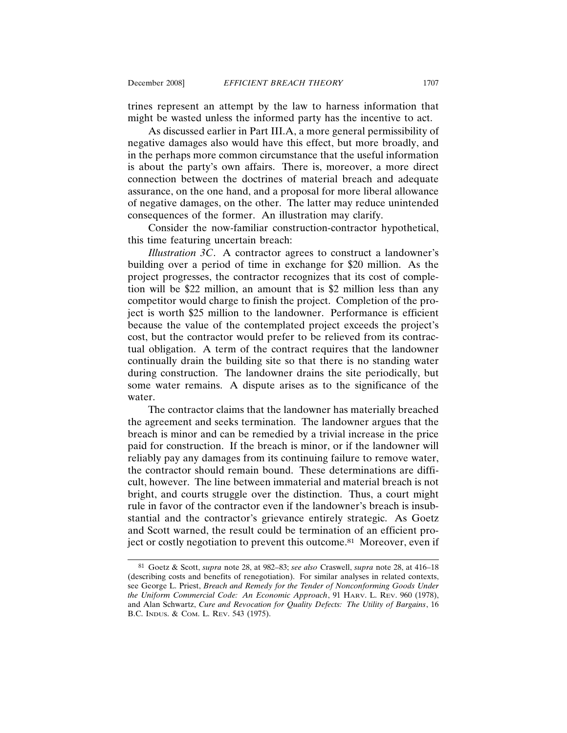trines represent an attempt by the law to harness information that might be wasted unless the informed party has the incentive to act.

As discussed earlier in Part III.A, a more general permissibility of negative damages also would have this effect, but more broadly, and in the perhaps more common circumstance that the useful information is about the party's own affairs. There is, moreover, a more direct connection between the doctrines of material breach and adequate assurance, on the one hand, and a proposal for more liberal allowance of negative damages, on the other. The latter may reduce unintended consequences of the former. An illustration may clarify.

Consider the now-familiar construction-contractor hypothetical, this time featuring uncertain breach:

*Illustration 3C*. A contractor agrees to construct a landowner's building over a period of time in exchange for \$20 million. As the project progresses, the contractor recognizes that its cost of completion will be \$22 million, an amount that is \$2 million less than any competitor would charge to finish the project. Completion of the project is worth \$25 million to the landowner. Performance is efficient because the value of the contemplated project exceeds the project's cost, but the contractor would prefer to be relieved from its contractual obligation. A term of the contract requires that the landowner continually drain the building site so that there is no standing water during construction. The landowner drains the site periodically, but some water remains. A dispute arises as to the significance of the water.

The contractor claims that the landowner has materially breached the agreement and seeks termination. The landowner argues that the breach is minor and can be remedied by a trivial increase in the price paid for construction. If the breach is minor, or if the landowner will reliably pay any damages from its continuing failure to remove water, the contractor should remain bound. These determinations are difficult, however. The line between immaterial and material breach is not bright, and courts struggle over the distinction. Thus, a court might rule in favor of the contractor even if the landowner's breach is insubstantial and the contractor's grievance entirely strategic. As Goetz and Scott warned, the result could be termination of an efficient project or costly negotiation to prevent this outcome.81 Moreover, even if

<sup>81</sup> Goetz & Scott, *supra* note 28, at 982–83; *see also* Craswell, *supra* note 28, at 416–18 (describing costs and benefits of renegotiation). For similar analyses in related contexts, see George L. Priest, *Breach and Remedy for the Tender of Nonconforming Goods Under the Uniform Commercial Code: An Economic Approach*, 91 HARV. L. REV. 960 (1978), and Alan Schwartz, *Cure and Revocation for Quality Defects: The Utility of Bargains*, 16 B.C. INDUS. & COM. L. REV. 543 (1975).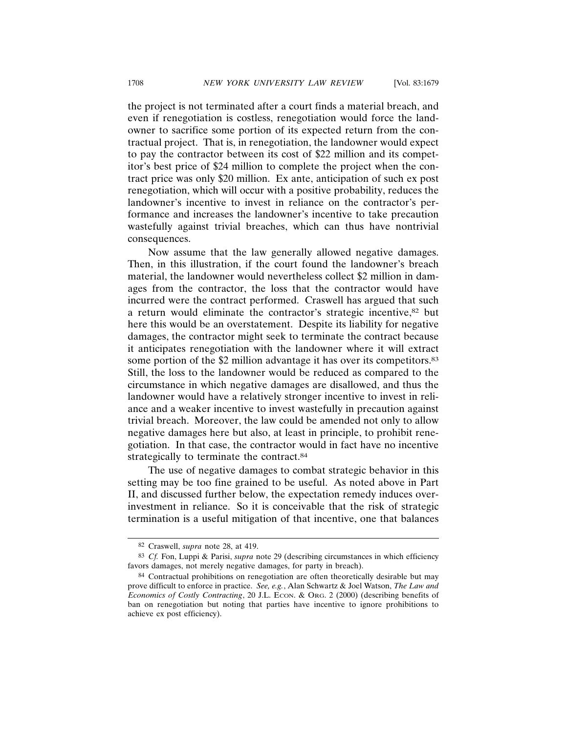the project is not terminated after a court finds a material breach, and even if renegotiation is costless, renegotiation would force the landowner to sacrifice some portion of its expected return from the contractual project. That is, in renegotiation, the landowner would expect to pay the contractor between its cost of \$22 million and its competitor's best price of \$24 million to complete the project when the contract price was only \$20 million. Ex ante, anticipation of such ex post renegotiation, which will occur with a positive probability, reduces the landowner's incentive to invest in reliance on the contractor's performance and increases the landowner's incentive to take precaution wastefully against trivial breaches, which can thus have nontrivial consequences.

Now assume that the law generally allowed negative damages. Then, in this illustration, if the court found the landowner's breach material, the landowner would nevertheless collect \$2 million in damages from the contractor, the loss that the contractor would have incurred were the contract performed. Craswell has argued that such a return would eliminate the contractor's strategic incentive,<sup>82</sup> but here this would be an overstatement. Despite its liability for negative damages, the contractor might seek to terminate the contract because it anticipates renegotiation with the landowner where it will extract some portion of the \$2 million advantage it has over its competitors.<sup>83</sup> Still, the loss to the landowner would be reduced as compared to the circumstance in which negative damages are disallowed, and thus the landowner would have a relatively stronger incentive to invest in reliance and a weaker incentive to invest wastefully in precaution against trivial breach. Moreover, the law could be amended not only to allow negative damages here but also, at least in principle, to prohibit renegotiation. In that case, the contractor would in fact have no incentive strategically to terminate the contract.<sup>84</sup>

The use of negative damages to combat strategic behavior in this setting may be too fine grained to be useful. As noted above in Part II, and discussed further below, the expectation remedy induces overinvestment in reliance. So it is conceivable that the risk of strategic termination is a useful mitigation of that incentive, one that balances

<sup>82</sup> Craswell, *supra* note 28, at 419.

<sup>83</sup> *Cf.* Fon, Luppi & Parisi, *supra* note 29 (describing circumstances in which efficiency favors damages, not merely negative damages, for party in breach).

<sup>84</sup> Contractual prohibitions on renegotiation are often theoretically desirable but may prove difficult to enforce in practice. *See, e.g.*, Alan Schwartz & Joel Watson, *The Law and Economics of Costly Contracting*, 20 J.L. ECON. & ORG. 2 (2000) (describing benefits of ban on renegotiation but noting that parties have incentive to ignore prohibitions to achieve ex post efficiency).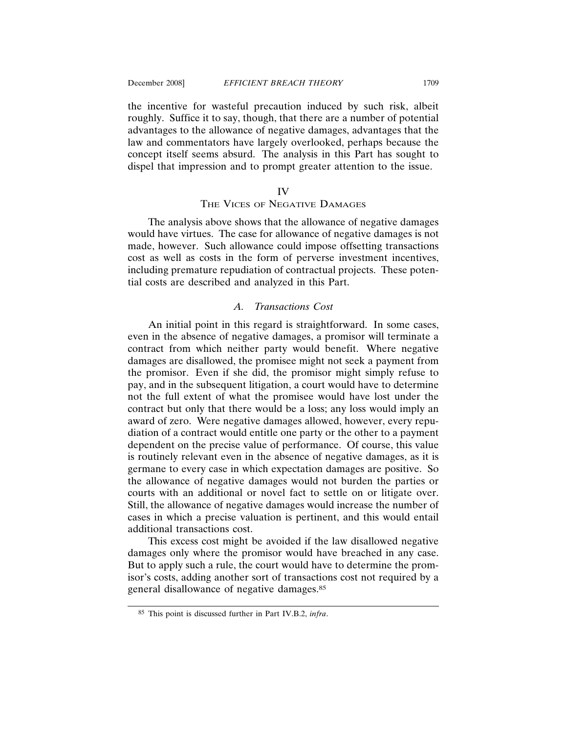the incentive for wasteful precaution induced by such risk, albeit roughly. Suffice it to say, though, that there are a number of potential advantages to the allowance of negative damages, advantages that the law and commentators have largely overlooked, perhaps because the concept itself seems absurd. The analysis in this Part has sought to dispel that impression and to prompt greater attention to the issue.

#### IV

# THE VICES OF NEGATIVE DAMAGES

The analysis above shows that the allowance of negative damages would have virtues. The case for allowance of negative damages is not made, however. Such allowance could impose offsetting transactions cost as well as costs in the form of perverse investment incentives, including premature repudiation of contractual projects. These potential costs are described and analyzed in this Part.

#### *A. Transactions Cost*

An initial point in this regard is straightforward. In some cases, even in the absence of negative damages, a promisor will terminate a contract from which neither party would benefit. Where negative damages are disallowed, the promisee might not seek a payment from the promisor. Even if she did, the promisor might simply refuse to pay, and in the subsequent litigation, a court would have to determine not the full extent of what the promisee would have lost under the contract but only that there would be a loss; any loss would imply an award of zero. Were negative damages allowed, however, every repudiation of a contract would entitle one party or the other to a payment dependent on the precise value of performance. Of course, this value is routinely relevant even in the absence of negative damages, as it is germane to every case in which expectation damages are positive. So the allowance of negative damages would not burden the parties or courts with an additional or novel fact to settle on or litigate over. Still, the allowance of negative damages would increase the number of cases in which a precise valuation is pertinent, and this would entail additional transactions cost.

This excess cost might be avoided if the law disallowed negative damages only where the promisor would have breached in any case. But to apply such a rule, the court would have to determine the promisor's costs, adding another sort of transactions cost not required by a general disallowance of negative damages.85

<sup>85</sup> This point is discussed further in Part IV.B.2, *infra*.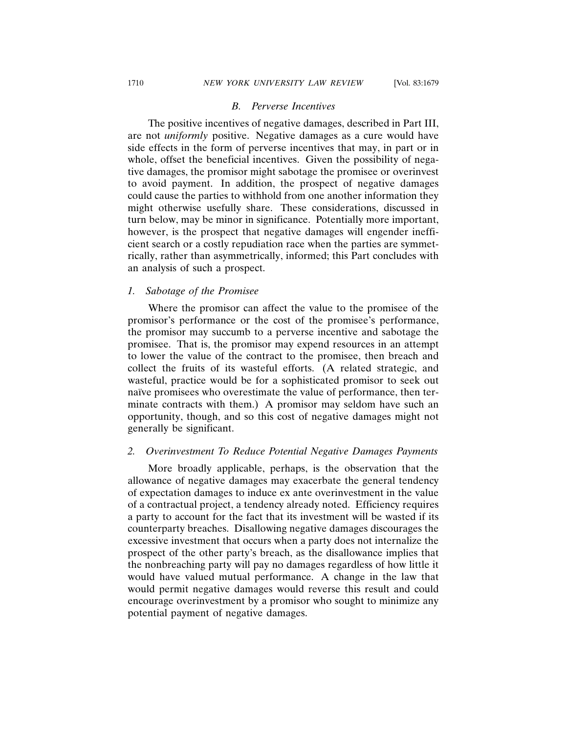# *B. Perverse Incentives*

The positive incentives of negative damages, described in Part III, are not *uniformly* positive. Negative damages as a cure would have side effects in the form of perverse incentives that may, in part or in whole, offset the beneficial incentives. Given the possibility of negative damages, the promisor might sabotage the promisee or overinvest to avoid payment. In addition, the prospect of negative damages could cause the parties to withhold from one another information they might otherwise usefully share. These considerations, discussed in turn below, may be minor in significance. Potentially more important, however, is the prospect that negative damages will engender inefficient search or a costly repudiation race when the parties are symmetrically, rather than asymmetrically, informed; this Part concludes with an analysis of such a prospect.

#### *1. Sabotage of the Promisee*

Where the promisor can affect the value to the promisee of the promisor's performance or the cost of the promisee's performance, the promisor may succumb to a perverse incentive and sabotage the promisee. That is, the promisor may expend resources in an attempt to lower the value of the contract to the promisee, then breach and collect the fruits of its wasteful efforts. (A related strategic, and wasteful, practice would be for a sophisticated promisor to seek out naïve promisees who overestimate the value of performance, then terminate contracts with them.) A promisor may seldom have such an opportunity, though, and so this cost of negative damages might not generally be significant.

#### *2. Overinvestment To Reduce Potential Negative Damages Payments*

More broadly applicable, perhaps, is the observation that the allowance of negative damages may exacerbate the general tendency of expectation damages to induce ex ante overinvestment in the value of a contractual project, a tendency already noted. Efficiency requires a party to account for the fact that its investment will be wasted if its counterparty breaches. Disallowing negative damages discourages the excessive investment that occurs when a party does not internalize the prospect of the other party's breach, as the disallowance implies that the nonbreaching party will pay no damages regardless of how little it would have valued mutual performance. A change in the law that would permit negative damages would reverse this result and could encourage overinvestment by a promisor who sought to minimize any potential payment of negative damages.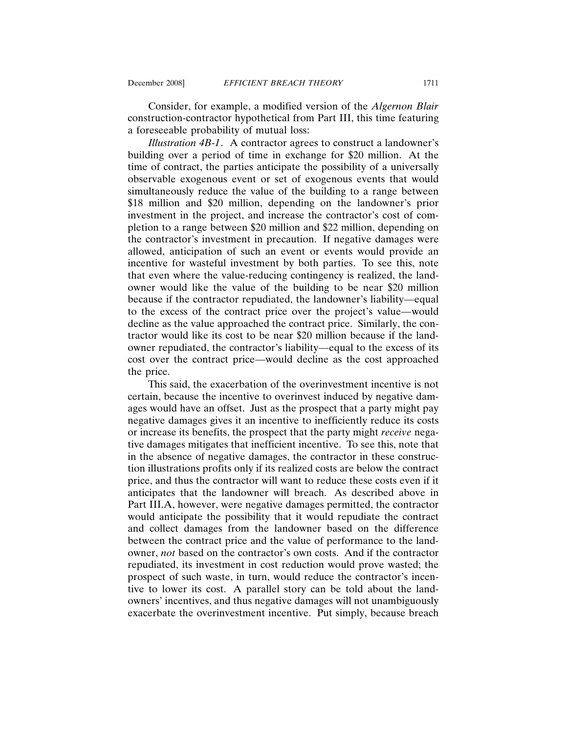Consider, for example, a modified version of the *Algernon Blair* construction-contractor hypothetical from Part III, this time featuring a foreseeable probability of mutual loss:

*Illustration 4B-1*. A contractor agrees to construct a landowner's building over a period of time in exchange for \$20 million. At the time of contract, the parties anticipate the possibility of a universally observable exogenous event or set of exogenous events that would simultaneously reduce the value of the building to a range between \$18 million and \$20 million, depending on the landowner's prior investment in the project, and increase the contractor's cost of completion to a range between \$20 million and \$22 million, depending on the contractor's investment in precaution. If negative damages were allowed, anticipation of such an event or events would provide an incentive for wasteful investment by both parties. To see this, note that even where the value-reducing contingency is realized, the landowner would like the value of the building to be near \$20 million because if the contractor repudiated, the landowner's liability—equal to the excess of the contract price over the project's value—would decline as the value approached the contract price. Similarly, the contractor would like its cost to be near \$20 million because if the landowner repudiated, the contractor's liability—equal to the excess of its cost over the contract price—would decline as the cost approached the price.

This said, the exacerbation of the overinvestment incentive is not certain, because the incentive to overinvest induced by negative damages would have an offset. Just as the prospect that a party might pay negative damages gives it an incentive to inefficiently reduce its costs or increase its benefits, the prospect that the party might *receive* negative damages mitigates that inefficient incentive. To see this, note that in the absence of negative damages, the contractor in these construction illustrations profits only if its realized costs are below the contract price, and thus the contractor will want to reduce these costs even if it anticipates that the landowner will breach. As described above in Part III.A, however, were negative damages permitted, the contractor would anticipate the possibility that it would repudiate the contract and collect damages from the landowner based on the difference between the contract price and the value of performance to the landowner, *not* based on the contractor's own costs. And if the contractor repudiated, its investment in cost reduction would prove wasted; the prospect of such waste, in turn, would reduce the contractor's incentive to lower its cost. A parallel story can be told about the landowners' incentives, and thus negative damages will not unambiguously exacerbate the overinvestment incentive. Put simply, because breach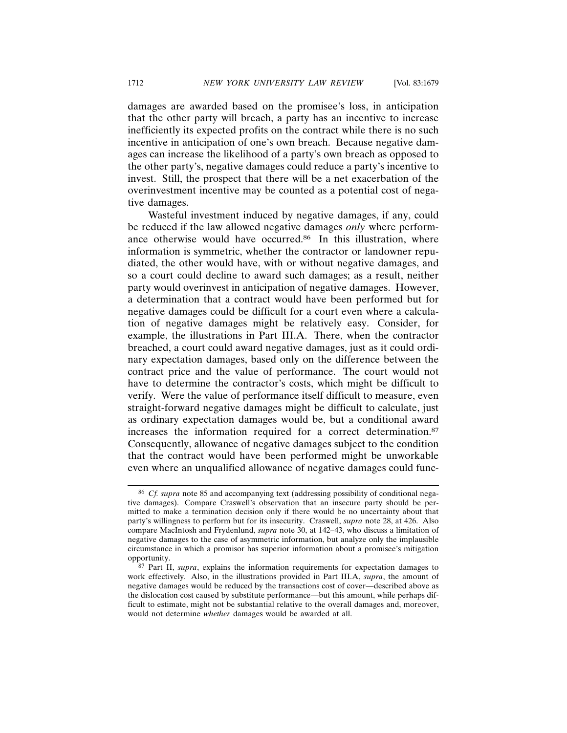damages are awarded based on the promisee's loss, in anticipation that the other party will breach, a party has an incentive to increase inefficiently its expected profits on the contract while there is no such incentive in anticipation of one's own breach. Because negative damages can increase the likelihood of a party's own breach as opposed to the other party's, negative damages could reduce a party's incentive to invest. Still, the prospect that there will be a net exacerbation of the overinvestment incentive may be counted as a potential cost of negative damages.

Wasteful investment induced by negative damages, if any, could be reduced if the law allowed negative damages *only* where performance otherwise would have occurred.<sup>86</sup> In this illustration, where information is symmetric, whether the contractor or landowner repudiated, the other would have, with or without negative damages, and so a court could decline to award such damages; as a result, neither party would overinvest in anticipation of negative damages. However, a determination that a contract would have been performed but for negative damages could be difficult for a court even where a calculation of negative damages might be relatively easy. Consider, for example, the illustrations in Part III.A. There, when the contractor breached, a court could award negative damages, just as it could ordinary expectation damages, based only on the difference between the contract price and the value of performance. The court would not have to determine the contractor's costs, which might be difficult to verify. Were the value of performance itself difficult to measure, even straight-forward negative damages might be difficult to calculate, just as ordinary expectation damages would be, but a conditional award increases the information required for a correct determination.87 Consequently, allowance of negative damages subject to the condition that the contract would have been performed might be unworkable even where an unqualified allowance of negative damages could func-

<sup>86</sup> *Cf. supra* note 85 and accompanying text (addressing possibility of conditional negative damages). Compare Craswell's observation that an insecure party should be permitted to make a termination decision only if there would be no uncertainty about that party's willingness to perform but for its insecurity. Craswell, *supra* note 28, at 426. Also compare MacIntosh and Frydenlund, *supra* note 30, at 142–43, who discuss a limitation of negative damages to the case of asymmetric information, but analyze only the implausible circumstance in which a promisor has superior information about a promisee's mitigation opportunity.

<sup>87</sup> Part II, *supra*, explains the information requirements for expectation damages to work effectively. Also, in the illustrations provided in Part III.A, *supra*, the amount of negative damages would be reduced by the transactions cost of cover—described above as the dislocation cost caused by substitute performance—but this amount, while perhaps difficult to estimate, might not be substantial relative to the overall damages and, moreover, would not determine *whether* damages would be awarded at all.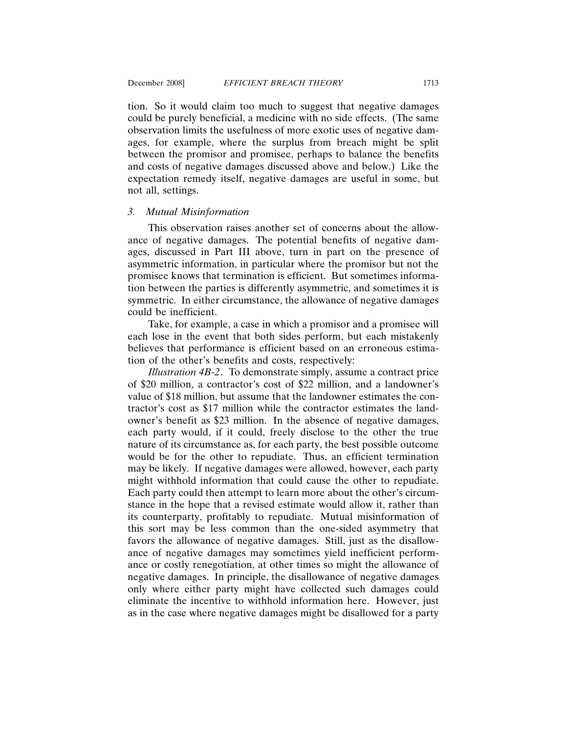tion. So it would claim too much to suggest that negative damages could be purely beneficial, a medicine with no side effects. (The same observation limits the usefulness of more exotic uses of negative damages, for example, where the surplus from breach might be split between the promisor and promisee, perhaps to balance the benefits and costs of negative damages discussed above and below.) Like the expectation remedy itself, negative damages are useful in some, but not all, settings.

# *3. Mutual Misinformation*

This observation raises another set of concerns about the allowance of negative damages. The potential benefits of negative damages, discussed in Part III above, turn in part on the presence of asymmetric information, in particular where the promisor but not the promisee knows that termination is efficient. But sometimes information between the parties is differently asymmetric, and sometimes it is symmetric. In either circumstance, the allowance of negative damages could be inefficient.

Take, for example, a case in which a promisor and a promisee will each lose in the event that both sides perform, but each mistakenly believes that performance is efficient based on an erroneous estimation of the other's benefits and costs, respectively:

*Illustration 4B-2*. To demonstrate simply, assume a contract price of \$20 million, a contractor's cost of \$22 million, and a landowner's value of \$18 million, but assume that the landowner estimates the contractor's cost as \$17 million while the contractor estimates the landowner's benefit as \$23 million. In the absence of negative damages, each party would, if it could, freely disclose to the other the true nature of its circumstance as, for each party, the best possible outcome would be for the other to repudiate. Thus, an efficient termination may be likely. If negative damages were allowed, however, each party might withhold information that could cause the other to repudiate. Each party could then attempt to learn more about the other's circumstance in the hope that a revised estimate would allow it, rather than its counterparty, profitably to repudiate. Mutual misinformation of this sort may be less common than the one-sided asymmetry that favors the allowance of negative damages. Still, just as the disallowance of negative damages may sometimes yield inefficient performance or costly renegotiation, at other times so might the allowance of negative damages. In principle, the disallowance of negative damages only where either party might have collected such damages could eliminate the incentive to withhold information here. However, just as in the case where negative damages might be disallowed for a party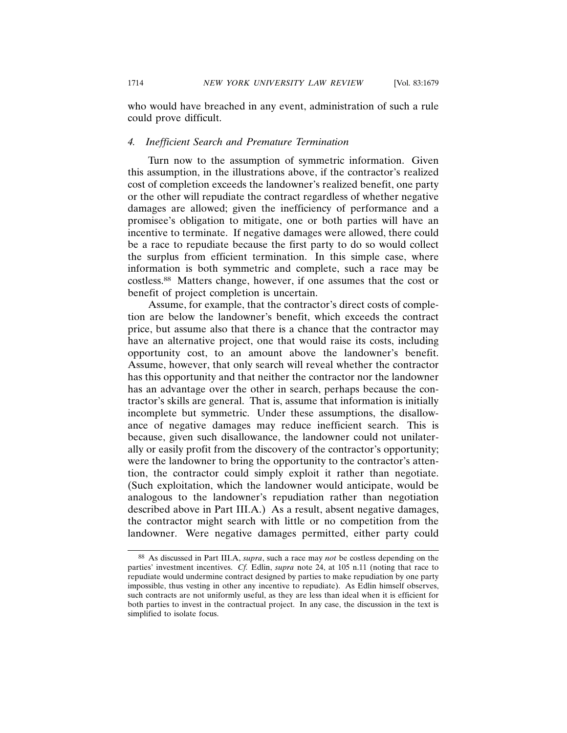who would have breached in any event, administration of such a rule could prove difficult.

# *4. Inefficient Search and Premature Termination*

Turn now to the assumption of symmetric information. Given this assumption, in the illustrations above, if the contractor's realized cost of completion exceeds the landowner's realized benefit, one party or the other will repudiate the contract regardless of whether negative damages are allowed; given the inefficiency of performance and a promisee's obligation to mitigate, one or both parties will have an incentive to terminate. If negative damages were allowed, there could be a race to repudiate because the first party to do so would collect the surplus from efficient termination. In this simple case, where information is both symmetric and complete, such a race may be costless.88 Matters change, however, if one assumes that the cost or benefit of project completion is uncertain.

Assume, for example, that the contractor's direct costs of completion are below the landowner's benefit, which exceeds the contract price, but assume also that there is a chance that the contractor may have an alternative project, one that would raise its costs, including opportunity cost, to an amount above the landowner's benefit. Assume, however, that only search will reveal whether the contractor has this opportunity and that neither the contractor nor the landowner has an advantage over the other in search, perhaps because the contractor's skills are general. That is, assume that information is initially incomplete but symmetric. Under these assumptions, the disallowance of negative damages may reduce inefficient search. This is because, given such disallowance, the landowner could not unilaterally or easily profit from the discovery of the contractor's opportunity; were the landowner to bring the opportunity to the contractor's attention, the contractor could simply exploit it rather than negotiate. (Such exploitation, which the landowner would anticipate, would be analogous to the landowner's repudiation rather than negotiation described above in Part III.A.) As a result, absent negative damages, the contractor might search with little or no competition from the landowner. Were negative damages permitted, either party could

<sup>88</sup> As discussed in Part III.A, *supra*, such a race may *not* be costless depending on the parties' investment incentives. *Cf.* Edlin, *supra* note 24, at 105 n.11 (noting that race to repudiate would undermine contract designed by parties to make repudiation by one party impossible, thus vesting in other any incentive to repudiate). As Edlin himself observes, such contracts are not uniformly useful, as they are less than ideal when it is efficient for both parties to invest in the contractual project. In any case, the discussion in the text is simplified to isolate focus.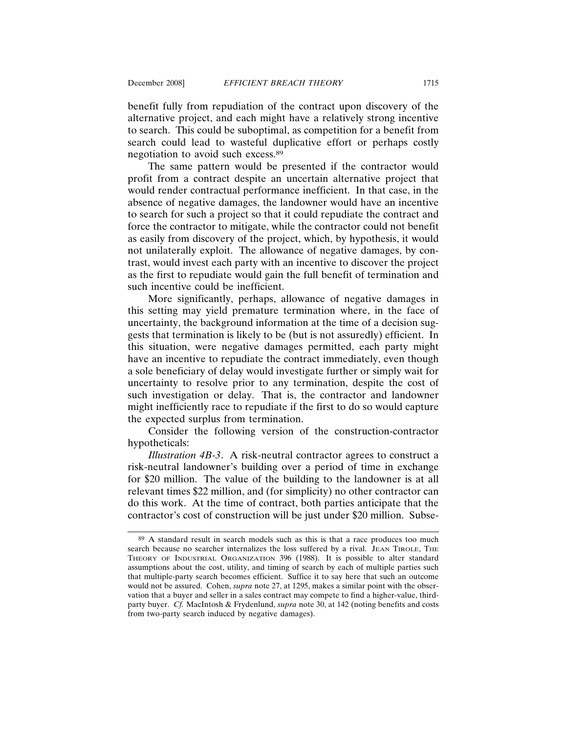benefit fully from repudiation of the contract upon discovery of the alternative project, and each might have a relatively strong incentive to search. This could be suboptimal, as competition for a benefit from search could lead to wasteful duplicative effort or perhaps costly negotiation to avoid such excess.89

The same pattern would be presented if the contractor would profit from a contract despite an uncertain alternative project that would render contractual performance inefficient. In that case, in the absence of negative damages, the landowner would have an incentive to search for such a project so that it could repudiate the contract and force the contractor to mitigate, while the contractor could not benefit as easily from discovery of the project, which, by hypothesis, it would not unilaterally exploit. The allowance of negative damages, by contrast, would invest each party with an incentive to discover the project as the first to repudiate would gain the full benefit of termination and such incentive could be inefficient.

More significantly, perhaps, allowance of negative damages in this setting may yield premature termination where, in the face of uncertainty, the background information at the time of a decision suggests that termination is likely to be (but is not assuredly) efficient. In this situation, were negative damages permitted, each party might have an incentive to repudiate the contract immediately, even though a sole beneficiary of delay would investigate further or simply wait for uncertainty to resolve prior to any termination, despite the cost of such investigation or delay. That is, the contractor and landowner might inefficiently race to repudiate if the first to do so would capture the expected surplus from termination.

Consider the following version of the construction-contractor hypotheticals:

*Illustration 4B-3*. A risk-neutral contractor agrees to construct a risk-neutral landowner's building over a period of time in exchange for \$20 million. The value of the building to the landowner is at all relevant times \$22 million, and (for simplicity) no other contractor can do this work. At the time of contract, both parties anticipate that the contractor's cost of construction will be just under \$20 million. Subse-

<sup>89</sup> A standard result in search models such as this is that a race produces too much search because no searcher internalizes the loss suffered by a rival. JEAN TIROLE, THE THEORY OF INDUSTRIAL ORGANIZATION 396 (1988). It is possible to alter standard assumptions about the cost, utility, and timing of search by each of multiple parties such that multiple-party search becomes efficient. Suffice it to say here that such an outcome would not be assured. Cohen, *supra* note 27, at 1295, makes a similar point with the observation that a buyer and seller in a sales contract may compete to find a higher-value, thirdparty buyer. *Cf.* MacIntosh & Frydenlund, *supra* note 30, at 142 (noting benefits and costs from two-party search induced by negative damages).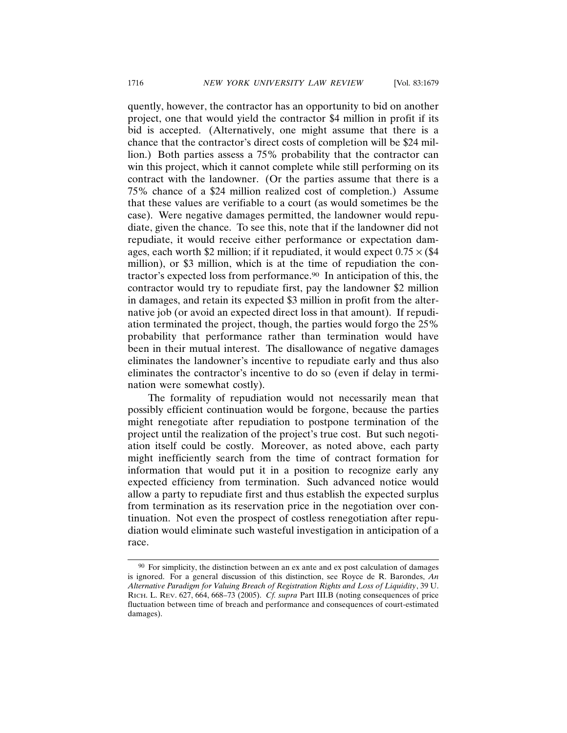quently, however, the contractor has an opportunity to bid on another project, one that would yield the contractor \$4 million in profit if its bid is accepted. (Alternatively, one might assume that there is a chance that the contractor's direct costs of completion will be \$24 million.) Both parties assess a 75% probability that the contractor can win this project, which it cannot complete while still performing on its contract with the landowner. (Or the parties assume that there is a 75% chance of a \$24 million realized cost of completion.) Assume that these values are verifiable to a court (as would sometimes be the case). Were negative damages permitted, the landowner would repudiate, given the chance. To see this, note that if the landowner did not repudiate, it would receive either performance or expectation damages, each worth \$2 million; if it repudiated, it would expect  $0.75 \times$  (\$4 million), or \$3 million, which is at the time of repudiation the contractor's expected loss from performance.90 In anticipation of this, the contractor would try to repudiate first, pay the landowner \$2 million in damages, and retain its expected \$3 million in profit from the alternative job (or avoid an expected direct loss in that amount). If repudiation terminated the project, though, the parties would forgo the 25% probability that performance rather than termination would have been in their mutual interest. The disallowance of negative damages eliminates the landowner's incentive to repudiate early and thus also eliminates the contractor's incentive to do so (even if delay in termination were somewhat costly).

The formality of repudiation would not necessarily mean that possibly efficient continuation would be forgone, because the parties might renegotiate after repudiation to postpone termination of the project until the realization of the project's true cost. But such negotiation itself could be costly. Moreover, as noted above, each party might inefficiently search from the time of contract formation for information that would put it in a position to recognize early any expected efficiency from termination. Such advanced notice would allow a party to repudiate first and thus establish the expected surplus from termination as its reservation price in the negotiation over continuation. Not even the prospect of costless renegotiation after repudiation would eliminate such wasteful investigation in anticipation of a race.

 $90\,$  For simplicity, the distinction between an ex ante and ex post calculation of damages is ignored. For a general discussion of this distinction, see Royce de R. Barondes, *An Alternative Paradigm for Valuing Breach of Registration Rights and Loss of Liquidity*, 39 U. RICH. L. REV. 627, 664, 668–73 (2005). *Cf. supra* Part III.B (noting consequences of price fluctuation between time of breach and performance and consequences of court-estimated damages).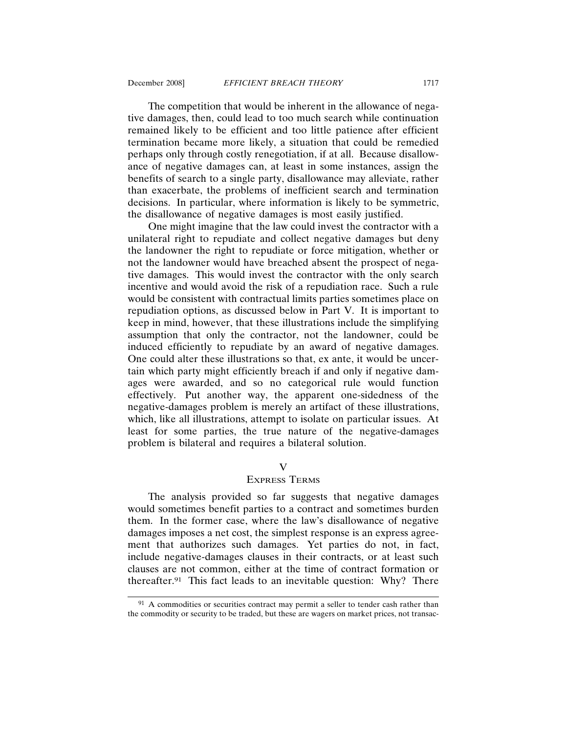The competition that would be inherent in the allowance of negative damages, then, could lead to too much search while continuation remained likely to be efficient and too little patience after efficient termination became more likely, a situation that could be remedied perhaps only through costly renegotiation, if at all. Because disallowance of negative damages can, at least in some instances, assign the benefits of search to a single party, disallowance may alleviate, rather than exacerbate, the problems of inefficient search and termination decisions. In particular, where information is likely to be symmetric, the disallowance of negative damages is most easily justified.

One might imagine that the law could invest the contractor with a unilateral right to repudiate and collect negative damages but deny the landowner the right to repudiate or force mitigation, whether or not the landowner would have breached absent the prospect of negative damages. This would invest the contractor with the only search incentive and would avoid the risk of a repudiation race. Such a rule would be consistent with contractual limits parties sometimes place on repudiation options, as discussed below in Part V. It is important to keep in mind, however, that these illustrations include the simplifying assumption that only the contractor, not the landowner, could be induced efficiently to repudiate by an award of negative damages. One could alter these illustrations so that, ex ante, it would be uncertain which party might efficiently breach if and only if negative damages were awarded, and so no categorical rule would function effectively. Put another way, the apparent one-sidedness of the negative-damages problem is merely an artifact of these illustrations, which, like all illustrations, attempt to isolate on particular issues. At least for some parties, the true nature of the negative-damages problem is bilateral and requires a bilateral solution.

# V

# EXPRESS TERMS

The analysis provided so far suggests that negative damages would sometimes benefit parties to a contract and sometimes burden them. In the former case, where the law's disallowance of negative damages imposes a net cost, the simplest response is an express agreement that authorizes such damages. Yet parties do not, in fact, include negative-damages clauses in their contracts, or at least such clauses are not common, either at the time of contract formation or thereafter.91 This fact leads to an inevitable question: Why? There

<sup>&</sup>lt;sup>91</sup> A commodities or securities contract may permit a seller to tender cash rather than the commodity or security to be traded, but these are wagers on market prices, not transac-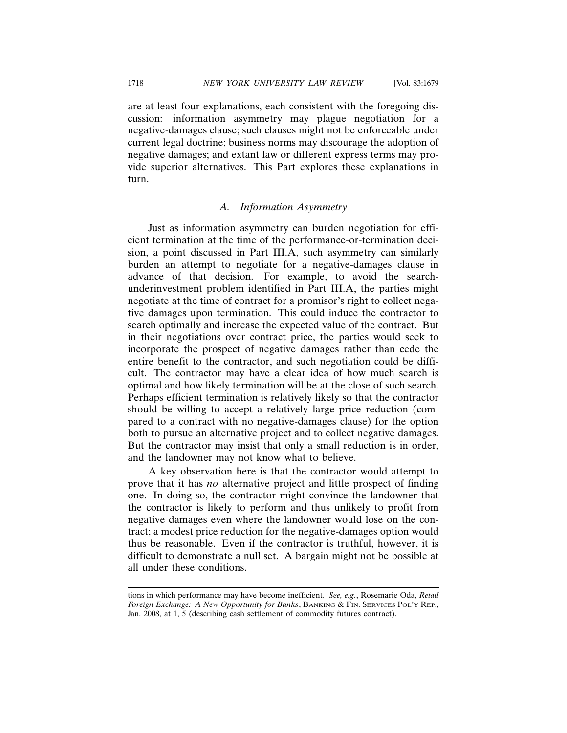are at least four explanations, each consistent with the foregoing discussion: information asymmetry may plague negotiation for a negative-damages clause; such clauses might not be enforceable under current legal doctrine; business norms may discourage the adoption of negative damages; and extant law or different express terms may provide superior alternatives. This Part explores these explanations in turn.

#### *A. Information Asymmetry*

Just as information asymmetry can burden negotiation for efficient termination at the time of the performance-or-termination decision, a point discussed in Part III.A, such asymmetry can similarly burden an attempt to negotiate for a negative-damages clause in advance of that decision. For example, to avoid the searchunderinvestment problem identified in Part III.A, the parties might negotiate at the time of contract for a promisor's right to collect negative damages upon termination. This could induce the contractor to search optimally and increase the expected value of the contract. But in their negotiations over contract price, the parties would seek to incorporate the prospect of negative damages rather than cede the entire benefit to the contractor, and such negotiation could be difficult. The contractor may have a clear idea of how much search is optimal and how likely termination will be at the close of such search. Perhaps efficient termination is relatively likely so that the contractor should be willing to accept a relatively large price reduction (compared to a contract with no negative-damages clause) for the option both to pursue an alternative project and to collect negative damages. But the contractor may insist that only a small reduction is in order, and the landowner may not know what to believe.

A key observation here is that the contractor would attempt to prove that it has *no* alternative project and little prospect of finding one. In doing so, the contractor might convince the landowner that the contractor is likely to perform and thus unlikely to profit from negative damages even where the landowner would lose on the contract; a modest price reduction for the negative-damages option would thus be reasonable. Even if the contractor is truthful, however, it is difficult to demonstrate a null set. A bargain might not be possible at all under these conditions.

tions in which performance may have become inefficient. *See, e.g.*, Rosemarie Oda, *Retail Foreign Exchange: A New Opportunity for Banks*, BANKING & FIN. SERVICES POL'Y REP., Jan. 2008, at 1, 5 (describing cash settlement of commodity futures contract).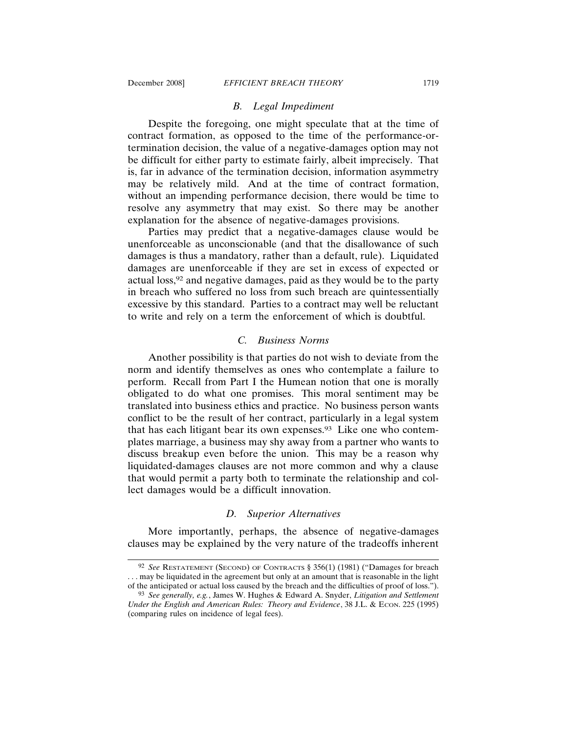# *B. Legal Impediment*

Despite the foregoing, one might speculate that at the time of contract formation, as opposed to the time of the performance-ortermination decision, the value of a negative-damages option may not be difficult for either party to estimate fairly, albeit imprecisely. That is, far in advance of the termination decision, information asymmetry may be relatively mild. And at the time of contract formation, without an impending performance decision, there would be time to resolve any asymmetry that may exist. So there may be another explanation for the absence of negative-damages provisions.

Parties may predict that a negative-damages clause would be unenforceable as unconscionable (and that the disallowance of such damages is thus a mandatory, rather than a default, rule). Liquidated damages are unenforceable if they are set in excess of expected or actual loss,92 and negative damages, paid as they would be to the party in breach who suffered no loss from such breach are quintessentially excessive by this standard. Parties to a contract may well be reluctant to write and rely on a term the enforcement of which is doubtful.

# *C. Business Norms*

Another possibility is that parties do not wish to deviate from the norm and identify themselves as ones who contemplate a failure to perform. Recall from Part I the Humean notion that one is morally obligated to do what one promises. This moral sentiment may be translated into business ethics and practice. No business person wants conflict to be the result of her contract, particularly in a legal system that has each litigant bear its own expenses.93 Like one who contemplates marriage, a business may shy away from a partner who wants to discuss breakup even before the union. This may be a reason why liquidated-damages clauses are not more common and why a clause that would permit a party both to terminate the relationship and collect damages would be a difficult innovation.

# *D. Superior Alternatives*

More importantly, perhaps, the absence of negative-damages clauses may be explained by the very nature of the tradeoffs inherent

<sup>92</sup> *See* RESTATEMENT (SECOND) OF CONTRACTS § 356(1) (1981) ("Damages for breach . . . may be liquidated in the agreement but only at an amount that is reasonable in the light of the anticipated or actual loss caused by the breach and the difficulties of proof of loss.").

<sup>93</sup> *See generally, e.g.*, James W. Hughes & Edward A. Snyder, *Litigation and Settlement Under the English and American Rules: Theory and Evidence*, 38 J.L. & ECON. 225 (1995) (comparing rules on incidence of legal fees).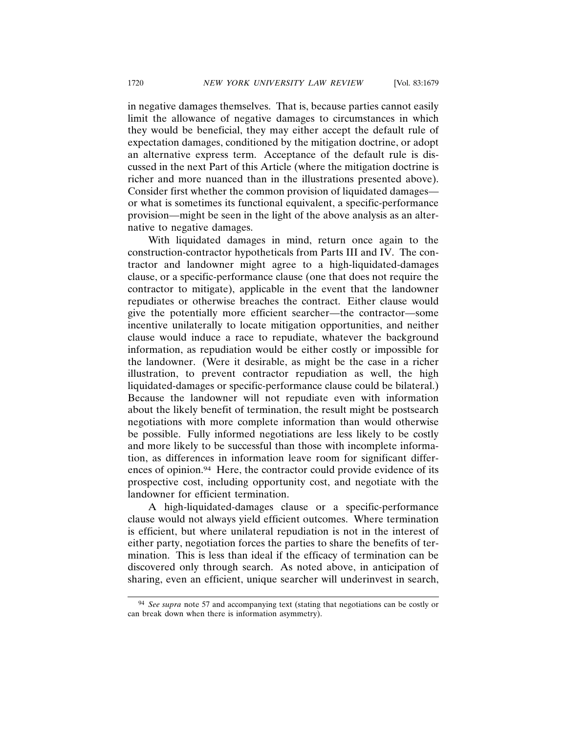in negative damages themselves. That is, because parties cannot easily limit the allowance of negative damages to circumstances in which they would be beneficial, they may either accept the default rule of expectation damages, conditioned by the mitigation doctrine, or adopt an alternative express term. Acceptance of the default rule is discussed in the next Part of this Article (where the mitigation doctrine is richer and more nuanced than in the illustrations presented above). Consider first whether the common provision of liquidated damages or what is sometimes its functional equivalent, a specific-performance provision—might be seen in the light of the above analysis as an alternative to negative damages.

With liquidated damages in mind, return once again to the construction-contractor hypotheticals from Parts III and IV. The contractor and landowner might agree to a high-liquidated-damages clause, or a specific-performance clause (one that does not require the contractor to mitigate), applicable in the event that the landowner repudiates or otherwise breaches the contract. Either clause would give the potentially more efficient searcher—the contractor—some incentive unilaterally to locate mitigation opportunities, and neither clause would induce a race to repudiate, whatever the background information, as repudiation would be either costly or impossible for the landowner. (Were it desirable, as might be the case in a richer illustration, to prevent contractor repudiation as well, the high liquidated-damages or specific-performance clause could be bilateral.) Because the landowner will not repudiate even with information about the likely benefit of termination, the result might be postsearch negotiations with more complete information than would otherwise be possible. Fully informed negotiations are less likely to be costly and more likely to be successful than those with incomplete information, as differences in information leave room for significant differences of opinion.<sup>94</sup> Here, the contractor could provide evidence of its prospective cost, including opportunity cost, and negotiate with the landowner for efficient termination.

A high-liquidated-damages clause or a specific-performance clause would not always yield efficient outcomes. Where termination is efficient, but where unilateral repudiation is not in the interest of either party, negotiation forces the parties to share the benefits of termination. This is less than ideal if the efficacy of termination can be discovered only through search. As noted above, in anticipation of sharing, even an efficient, unique searcher will underinvest in search,

<sup>94</sup> *See supra* note 57 and accompanying text (stating that negotiations can be costly or can break down when there is information asymmetry).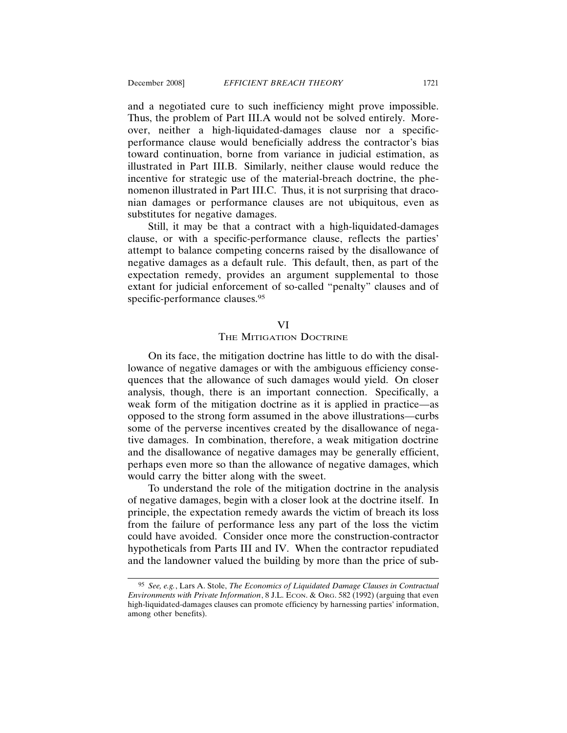and a negotiated cure to such inefficiency might prove impossible. Thus, the problem of Part III.A would not be solved entirely. Moreover, neither a high-liquidated-damages clause nor a specificperformance clause would beneficially address the contractor's bias toward continuation, borne from variance in judicial estimation, as illustrated in Part III.B. Similarly, neither clause would reduce the incentive for strategic use of the material-breach doctrine, the phenomenon illustrated in Part III.C. Thus, it is not surprising that draconian damages or performance clauses are not ubiquitous, even as substitutes for negative damages.

Still, it may be that a contract with a high-liquidated-damages clause, or with a specific-performance clause, reflects the parties' attempt to balance competing concerns raised by the disallowance of negative damages as a default rule. This default, then, as part of the expectation remedy, provides an argument supplemental to those extant for judicial enforcement of so-called "penalty" clauses and of specific-performance clauses.<sup>95</sup>

#### VI

#### THE MITIGATION DOCTRINE

On its face, the mitigation doctrine has little to do with the disallowance of negative damages or with the ambiguous efficiency consequences that the allowance of such damages would yield. On closer analysis, though, there is an important connection. Specifically, a weak form of the mitigation doctrine as it is applied in practice—as opposed to the strong form assumed in the above illustrations—curbs some of the perverse incentives created by the disallowance of negative damages. In combination, therefore, a weak mitigation doctrine and the disallowance of negative damages may be generally efficient, perhaps even more so than the allowance of negative damages, which would carry the bitter along with the sweet.

To understand the role of the mitigation doctrine in the analysis of negative damages, begin with a closer look at the doctrine itself. In principle, the expectation remedy awards the victim of breach its loss from the failure of performance less any part of the loss the victim could have avoided. Consider once more the construction-contractor hypotheticals from Parts III and IV. When the contractor repudiated and the landowner valued the building by more than the price of sub-

<sup>95</sup> *See, e.g.*, Lars A. Stole, *The Economics of Liquidated Damage Clauses in Contractual Environments with Private Information*, 8 J.L. ECON. & ORG. 582 (1992) (arguing that even high-liquidated-damages clauses can promote efficiency by harnessing parties' information, among other benefits).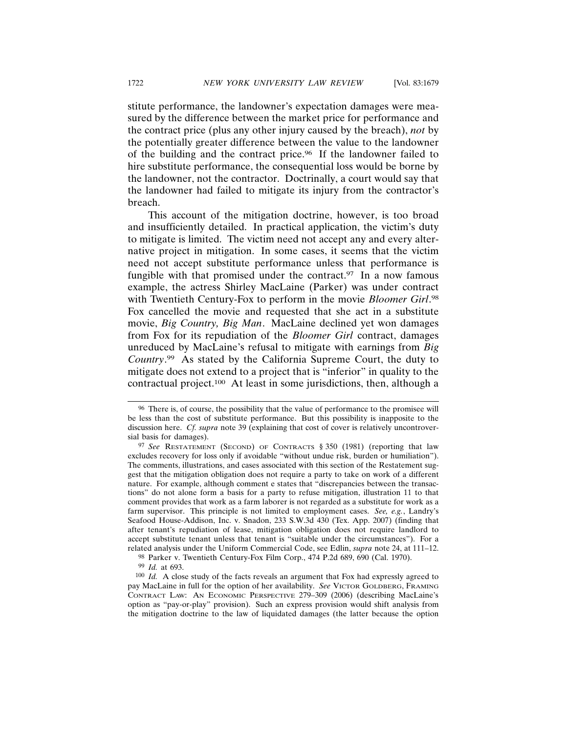stitute performance, the landowner's expectation damages were measured by the difference between the market price for performance and the contract price (plus any other injury caused by the breach), *not* by the potentially greater difference between the value to the landowner of the building and the contract price.96 If the landowner failed to hire substitute performance, the consequential loss would be borne by the landowner, not the contractor. Doctrinally, a court would say that the landowner had failed to mitigate its injury from the contractor's breach.

This account of the mitigation doctrine, however, is too broad and insufficiently detailed. In practical application, the victim's duty to mitigate is limited. The victim need not accept any and every alternative project in mitigation. In some cases, it seems that the victim need not accept substitute performance unless that performance is fungible with that promised under the contract. $97$  In a now famous example, the actress Shirley MacLaine (Parker) was under contract with Twentieth Century-Fox to perform in the movie *Bloomer Girl*. 98 Fox cancelled the movie and requested that she act in a substitute movie, *Big Country, Big Man*. MacLaine declined yet won damages from Fox for its repudiation of the *Bloomer Girl* contract, damages unreduced by MacLaine's refusal to mitigate with earnings from *Big Country*. 99 As stated by the California Supreme Court, the duty to mitigate does not extend to a project that is "inferior" in quality to the contractual project.100 At least in some jurisdictions, then, although a

<sup>96</sup> There is, of course, the possibility that the value of performance to the promisee will be less than the cost of substitute performance. But this possibility is inapposite to the discussion here. *Cf. supra* note 39 (explaining that cost of cover is relatively uncontroversial basis for damages).

<sup>97</sup> *See* RESTATEMENT (SECOND) OF CONTRACTS § 350 (1981) (reporting that law excludes recovery for loss only if avoidable "without undue risk, burden or humiliation"). The comments, illustrations, and cases associated with this section of the Restatement suggest that the mitigation obligation does not require a party to take on work of a different nature. For example, although comment e states that "discrepancies between the transactions" do not alone form a basis for a party to refuse mitigation, illustration 11 to that comment provides that work as a farm laborer is not regarded as a substitute for work as a farm supervisor. This principle is not limited to employment cases. *See, e.g.*, Landry's Seafood House-Addison, Inc. v. Snadon, 233 S.W.3d 430 (Tex. App. 2007) (finding that after tenant's repudiation of lease, mitigation obligation does not require landlord to accept substitute tenant unless that tenant is "suitable under the circumstances"). For a related analysis under the Uniform Commercial Code, see Edlin, *supra* note 24, at 111–12.

<sup>98</sup> Parker v. Twentieth Century-Fox Film Corp., 474 P.2d 689, 690 (Cal. 1970).

<sup>99</sup> *Id.* at 693.

<sup>100</sup> *Id.* A close study of the facts reveals an argument that Fox had expressly agreed to pay MacLaine in full for the option of her availability. *See* VICTOR GOLDBERG, FRAMING CONTRACT LAW: AN ECONOMIC PERSPECTIVE 279–309 (2006) (describing MacLaine's option as "pay-or-play" provision). Such an express provision would shift analysis from the mitigation doctrine to the law of liquidated damages (the latter because the option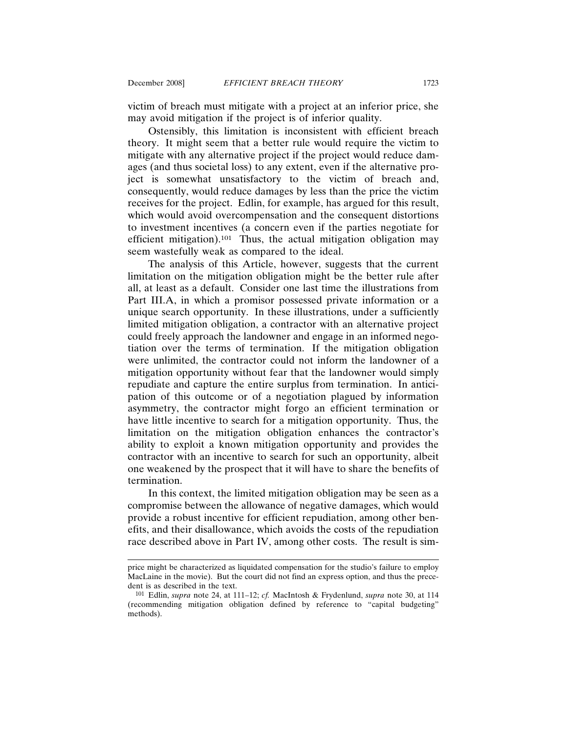victim of breach must mitigate with a project at an inferior price, she may avoid mitigation if the project is of inferior quality.

Ostensibly, this limitation is inconsistent with efficient breach theory. It might seem that a better rule would require the victim to mitigate with any alternative project if the project would reduce damages (and thus societal loss) to any extent, even if the alternative project is somewhat unsatisfactory to the victim of breach and, consequently, would reduce damages by less than the price the victim receives for the project. Edlin, for example, has argued for this result, which would avoid overcompensation and the consequent distortions to investment incentives (a concern even if the parties negotiate for efficient mitigation).<sup>101</sup> Thus, the actual mitigation obligation may seem wastefully weak as compared to the ideal.

The analysis of this Article, however, suggests that the current limitation on the mitigation obligation might be the better rule after all, at least as a default. Consider one last time the illustrations from Part III.A, in which a promisor possessed private information or a unique search opportunity. In these illustrations, under a sufficiently limited mitigation obligation, a contractor with an alternative project could freely approach the landowner and engage in an informed negotiation over the terms of termination. If the mitigation obligation were unlimited, the contractor could not inform the landowner of a mitigation opportunity without fear that the landowner would simply repudiate and capture the entire surplus from termination. In anticipation of this outcome or of a negotiation plagued by information asymmetry, the contractor might forgo an efficient termination or have little incentive to search for a mitigation opportunity. Thus, the limitation on the mitigation obligation enhances the contractor's ability to exploit a known mitigation opportunity and provides the contractor with an incentive to search for such an opportunity, albeit one weakened by the prospect that it will have to share the benefits of termination.

In this context, the limited mitigation obligation may be seen as a compromise between the allowance of negative damages, which would provide a robust incentive for efficient repudiation, among other benefits, and their disallowance, which avoids the costs of the repudiation race described above in Part IV, among other costs. The result is sim-

price might be characterized as liquidated compensation for the studio's failure to employ MacLaine in the movie). But the court did not find an express option, and thus the precedent is as described in the text.

<sup>101</sup> Edlin, *supra* note 24, at 111–12; *cf.* MacIntosh & Frydenlund, *supra* note 30, at 114 (recommending mitigation obligation defined by reference to "capital budgeting" methods).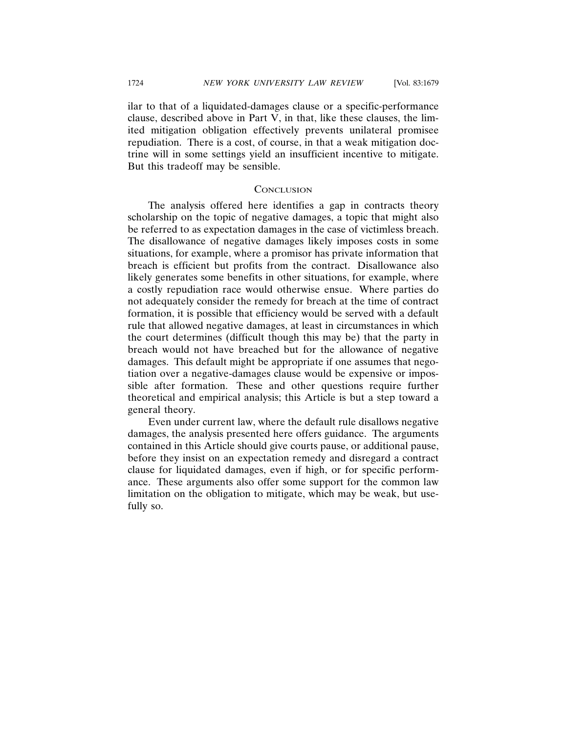ilar to that of a liquidated-damages clause or a specific-performance clause, described above in Part V, in that, like these clauses, the limited mitigation obligation effectively prevents unilateral promisee repudiation. There is a cost, of course, in that a weak mitigation doctrine will in some settings yield an insufficient incentive to mitigate. But this tradeoff may be sensible.

#### **CONCLUSION**

The analysis offered here identifies a gap in contracts theory scholarship on the topic of negative damages, a topic that might also be referred to as expectation damages in the case of victimless breach. The disallowance of negative damages likely imposes costs in some situations, for example, where a promisor has private information that breach is efficient but profits from the contract. Disallowance also likely generates some benefits in other situations, for example, where a costly repudiation race would otherwise ensue. Where parties do not adequately consider the remedy for breach at the time of contract formation, it is possible that efficiency would be served with a default rule that allowed negative damages, at least in circumstances in which the court determines (difficult though this may be) that the party in breach would not have breached but for the allowance of negative damages. This default might be appropriate if one assumes that negotiation over a negative-damages clause would be expensive or impossible after formation. These and other questions require further theoretical and empirical analysis; this Article is but a step toward a general theory.

Even under current law, where the default rule disallows negative damages, the analysis presented here offers guidance. The arguments contained in this Article should give courts pause, or additional pause, before they insist on an expectation remedy and disregard a contract clause for liquidated damages, even if high, or for specific performance. These arguments also offer some support for the common law limitation on the obligation to mitigate, which may be weak, but usefully so.